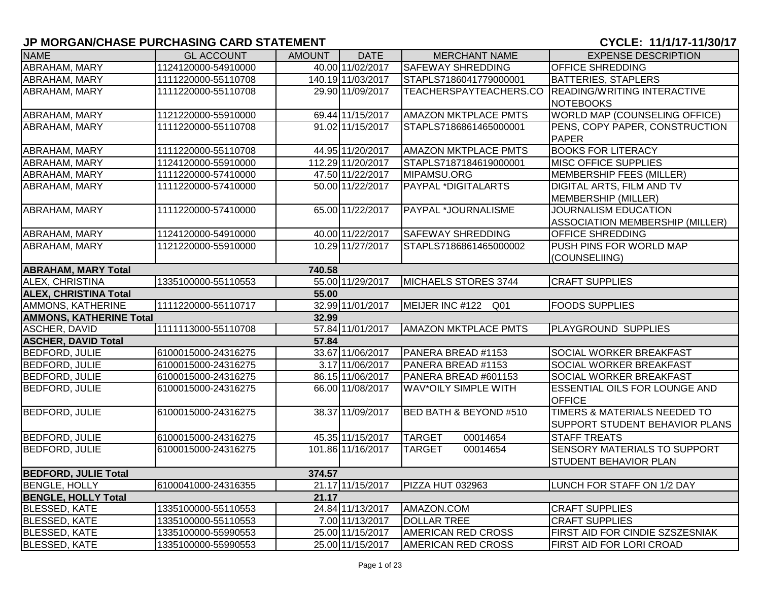| <b>NAME</b>                    | <b>GL ACCOUNT</b>   | AMOUNT | <b>DATE</b>       | <b>MERCHANT NAME</b>        | <b>EXPENSE DESCRIPTION</b>             |
|--------------------------------|---------------------|--------|-------------------|-----------------------------|----------------------------------------|
| ABRAHAM, MARY                  | 1124120000-54910000 |        | 40.00 11/02/2017  | <b>SAFEWAY SHREDDING</b>    | <b>OFFICE SHREDDING</b>                |
| ABRAHAM, MARY                  | 1111220000-55110708 |        | 140.19 11/03/2017 | STAPLS7186041779000001      | <b>BATTERIES, STAPLERS</b>             |
| ABRAHAM, MARY                  | 1111220000-55110708 |        | 29.90 11/09/2017  | TEACHERSPAYTEACHERS.CO      | <b>READING/WRITING INTERACTIVE</b>     |
|                                |                     |        |                   |                             | <b>NOTEBOOKS</b>                       |
| ABRAHAM, MARY                  | 1121220000-55910000 |        | 69.44 11/15/2017  | <b>AMAZON MKTPLACE PMTS</b> | <b>WORLD MAP (COUNSELING OFFICE)</b>   |
| ABRAHAM, MARY                  | 1111220000-55110708 |        | 91.02 11/15/2017  | STAPLS7186861465000001      | PENS, COPY PAPER, CONSTRUCTION         |
|                                |                     |        |                   |                             | <b>PAPER</b>                           |
| ABRAHAM, MARY                  | 1111220000-55110708 |        | 44.95 11/20/2017  | <b>AMAZON MKTPLACE PMTS</b> | <b>BOOKS FOR LITERACY</b>              |
| ABRAHAM, MARY                  | 1124120000-55910000 |        | 112.29 11/20/2017 | STAPLS7187184619000001      | <b>MISC OFFICE SUPPLIES</b>            |
| ABRAHAM, MARY                  | 1111220000-57410000 |        | 47.50 11/22/2017  | MIPAMSU.ORG                 | <b>MEMBERSHIP FEES (MILLER)</b>        |
| ABRAHAM, MARY                  | 1111220000-57410000 |        | 50.00 11/22/2017  | <b>PAYPAL *DIGITALARTS</b>  | <b>DIGITAL ARTS, FILM AND TV</b>       |
|                                |                     |        |                   |                             | MEMBERSHIP (MILLER)                    |
| ABRAHAM, MARY                  | 1111220000-57410000 |        | 65.00 11/22/2017  | PAYPAL *JOURNALISME         | <b>JOURNALISM EDUCATION</b>            |
|                                |                     |        |                   |                             | <b>ASSOCIATION MEMBERSHIP (MILLER)</b> |
| <b>ABRAHAM, MARY</b>           | 1124120000-54910000 |        | 40.00 11/22/2017  | <b>SAFEWAY SHREDDING</b>    | <b>OFFICE SHREDDING</b>                |
| ABRAHAM, MARY                  | 1121220000-55910000 |        | 10.29 11/27/2017  | STAPLS7186861465000002      | PUSH PINS FOR WORLD MAP                |
|                                |                     |        |                   |                             | (COUNSELIING)                          |
| <b>ABRAHAM, MARY Total</b>     |                     | 740.58 |                   |                             |                                        |
| ALEX, CHRISTINA                | 1335100000-55110553 |        | 55.00 11/29/2017  | <b>MICHAELS STORES 3744</b> | <b>CRAFT SUPPLIES</b>                  |
| <b>ALEX, CHRISTINA Total</b>   |                     | 55.00  |                   |                             |                                        |
| AMMONS, KATHERINE              | 1111220000-55110717 |        | 32.99 11/01/2017  | MEIJER INC #122 Q01         | <b>FOODS SUPPLIES</b>                  |
| <b>AMMONS, KATHERINE Total</b> |                     | 32.99  |                   |                             |                                        |
| <b>ASCHER, DAVID</b>           | 1111113000-55110708 |        | 57.84 11/01/2017  | <b>AMAZON MKTPLACE PMTS</b> | <b>PLAYGROUND SUPPLIES</b>             |
| <b>ASCHER, DAVID Total</b>     |                     | 57.84  |                   |                             |                                        |
| <b>BEDFORD, JULIE</b>          | 6100015000-24316275 |        | 33.67 11/06/2017  | PANERA BREAD #1153          | <b>SOCIAL WORKER BREAKFAST</b>         |
| <b>BEDFORD, JULIE</b>          | 6100015000-24316275 |        | 3.17 11/06/2017   | PANERA BREAD #1153          | SOCIAL WORKER BREAKFAST                |
| <b>BEDFORD, JULIE</b>          | 6100015000-24316275 |        | 86.15 11/06/2017  | PANERA BREAD #601153        | SOCIAL WORKER BREAKFAST                |
| <b>BEDFORD, JULIE</b>          | 6100015000-24316275 |        | 66.00 11/08/2017  | <b>WAV*OILY SIMPLE WITH</b> | <b>ESSENTIAL OILS FOR LOUNGE AND</b>   |
|                                |                     |        |                   |                             | <b>OFFICE</b>                          |
| <b>BEDFORD, JULIE</b>          | 6100015000-24316275 |        | 38.37 11/09/2017  | BED BATH & BEYOND #510      | TIMERS & MATERIALS NEEDED TO           |
|                                |                     |        |                   |                             | SUPPORT STUDENT BEHAVIOR PLANS         |
| <b>BEDFORD, JULIE</b>          | 6100015000-24316275 |        | 45.35 11/15/2017  | <b>TARGET</b><br>00014654   | <b>STAFF TREATS</b>                    |
| <b>BEDFORD, JULIE</b>          | 6100015000-24316275 |        | 101.86 11/16/2017 | 00014654<br><b>TARGET</b>   | SENSORY MATERIALS TO SUPPORT           |
|                                |                     |        |                   |                             | STUDENT BEHAVIOR PLAN                  |
| <b>BEDFORD, JULIE Total</b>    |                     | 374.57 |                   |                             |                                        |
| <b>BENGLE, HOLLY</b>           | 6100041000-24316355 |        | 21.17 11/15/2017  | PIZZA HUT 032963            | LUNCH FOR STAFF ON 1/2 DAY             |
| <b>BENGLE, HOLLY Total</b>     |                     | 21.17  |                   |                             |                                        |
| <b>BLESSED, KATE</b>           | 1335100000-55110553 |        | 24.84 11/13/2017  | AMAZON.COM                  | <b>CRAFT SUPPLIES</b>                  |
| <b>BLESSED, KATE</b>           | 1335100000-55110553 |        | 7.00 11/13/2017   | <b>DOLLAR TREE</b>          | <b>CRAFT SUPPLIES</b>                  |
| <b>BLESSED, KATE</b>           | 1335100000-55990553 |        | 25.00 11/15/2017  | <b>AMERICAN RED CROSS</b>   | FIRST AID FOR CINDIE SZSZESNIAK        |
| <b>BLESSED, KATE</b>           | 1335100000-55990553 |        | 25.00 11/15/2017  | <b>AMERICAN RED CROSS</b>   | <b>FIRST AID FOR LORI CROAD</b>        |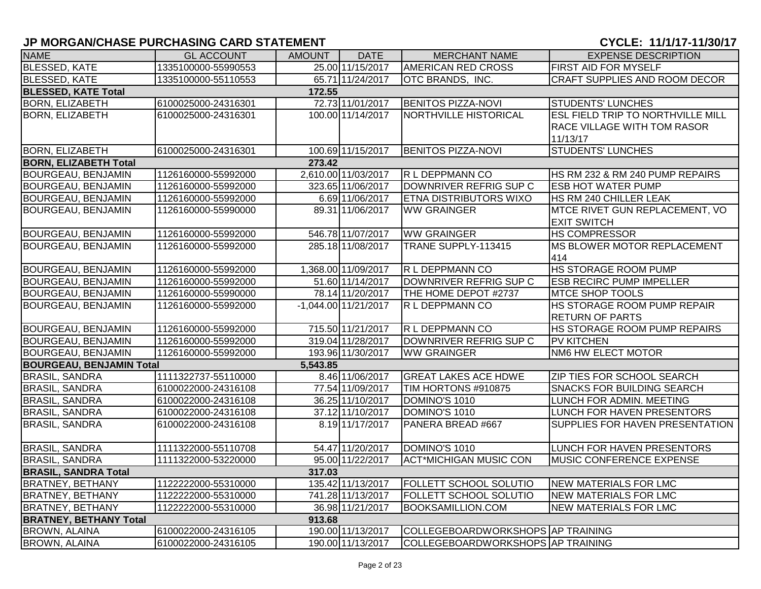| <b>NAME</b>                            | <b>GL ACCOUNT</b>   | AMOUNT   | <b>DATE</b>            | <b>MERCHANT NAME</b>              | <b>EXPENSE DESCRIPTION</b>               |  |  |  |  |  |
|----------------------------------------|---------------------|----------|------------------------|-----------------------------------|------------------------------------------|--|--|--|--|--|
| <b>BLESSED, KATE</b>                   | 1335100000-55990553 |          | 25.00 11/15/2017       | <b>AMERICAN RED CROSS</b>         | <b>FIRST AID FOR MYSELF</b>              |  |  |  |  |  |
| <b>BLESSED, KATE</b>                   | 1335100000-55110553 |          | 65.71 11/24/2017       | OTC BRANDS, INC.                  | CRAFT SUPPLIES AND ROOM DECOR            |  |  |  |  |  |
| <b>BLESSED, KATE Total</b><br>172.55   |                     |          |                        |                                   |                                          |  |  |  |  |  |
| <b>BORN, ELIZABETH</b>                 | 6100025000-24316301 |          | 72.73 11/01/2017       | <b>BENITOS PIZZA-NOVI</b>         | <b>STUDENTS' LUNCHES</b>                 |  |  |  |  |  |
| <b>BORN, ELIZABETH</b>                 | 6100025000-24316301 |          | 100.00 11/14/2017      | NORTHVILLE HISTORICAL             | <b>ESL FIELD TRIP TO NORTHVILLE MILL</b> |  |  |  |  |  |
|                                        |                     |          |                        |                                   | RACE VILLAGE WITH TOM RASOR              |  |  |  |  |  |
|                                        |                     |          |                        |                                   | 11/13/17                                 |  |  |  |  |  |
| <b>BORN, ELIZABETH</b>                 | 6100025000-24316301 |          | 100.69 11/15/2017      | <b>BENITOS PIZZA-NOVI</b>         | <b>STUDENTS' LUNCHES</b>                 |  |  |  |  |  |
| <b>BORN, ELIZABETH Total</b><br>273.42 |                     |          |                        |                                   |                                          |  |  |  |  |  |
| <b>BOURGEAU, BENJAMIN</b>              | 1126160000-55992000 |          | 2,610.00 11/03/2017    | R L DEPPMANN CO                   | HS RM 232 & RM 240 PUMP REPAIRS          |  |  |  |  |  |
| <b>BOURGEAU, BENJAMIN</b>              | 1126160000-55992000 |          | 323.65 11/06/2017      | DOWNRIVER REFRIG SUP C            | <b>ESB HOT WATER PUMP</b>                |  |  |  |  |  |
| <b>BOURGEAU, BENJAMIN</b>              | 1126160000-55992000 |          | 6.69 11/06/2017        | <b>ETNA DISTRIBUTORS WIXO</b>     | HS RM 240 CHILLER LEAK                   |  |  |  |  |  |
| BOURGEAU, BENJAMIN                     | 1126160000-55990000 |          | 89.31 11/06/2017       | <b>WW GRAINGER</b>                | MTCE RIVET GUN REPLACEMENT, VO           |  |  |  |  |  |
|                                        |                     |          |                        |                                   | <b>EXIT SWITCH</b>                       |  |  |  |  |  |
| <b>BOURGEAU, BENJAMIN</b>              | 1126160000-55992000 |          | 546.78 11/07/2017      | <b>WW GRAINGER</b>                | <b>HS COMPRESSOR</b>                     |  |  |  |  |  |
| BOURGEAU, BENJAMIN                     | 1126160000-55992000 |          | 285.18 11/08/2017      | TRANE SUPPLY-113415               | MS BLOWER MOTOR REPLACEMENT              |  |  |  |  |  |
|                                        |                     |          |                        |                                   | 414                                      |  |  |  |  |  |
| <b>BOURGEAU, BENJAMIN</b>              | 1126160000-55992000 |          | 1,368.00 11/09/2017    | R L DEPPMANN CO                   | HS STORAGE ROOM PUMP                     |  |  |  |  |  |
| <b>BOURGEAU, BENJAMIN</b>              | 1126160000-55992000 |          | 51.60 11/14/2017       | DOWNRIVER REFRIG SUP C            | <b>ESB RECIRC PUMP IMPELLER</b>          |  |  |  |  |  |
| <b>BOURGEAU, BENJAMIN</b>              | 1126160000-55990000 |          | 78.14 11/20/2017       | THE HOME DEPOT #2737              | <b>MTCE SHOP TOOLS</b>                   |  |  |  |  |  |
| BOURGEAU, BENJAMIN                     | 1126160000-55992000 |          | $-1,044.00$ 11/21/2017 | R L DEPPMANN CO                   | HS STORAGE ROOM PUMP REPAIR              |  |  |  |  |  |
|                                        |                     |          |                        |                                   | <b>RETURN OF PARTS</b>                   |  |  |  |  |  |
| <b>BOURGEAU, BENJAMIN</b>              | 1126160000-55992000 |          | 715.50 11/21/2017      | R L DEPPMANN CO                   | HS STORAGE ROOM PUMP REPAIRS             |  |  |  |  |  |
| <b>BOURGEAU, BENJAMIN</b>              | 1126160000-55992000 |          | 319.04 11/28/2017      | DOWNRIVER REFRIG SUP C            | <b>PV KITCHEN</b>                        |  |  |  |  |  |
| <b>BOURGEAU, BENJAMIN</b>              | 1126160000-55992000 |          | 193.96 11/30/2017      | <b>WW GRAINGER</b>                | NM6 HW ELECT MOTOR                       |  |  |  |  |  |
| <b>BOURGEAU, BENJAMIN Total</b>        |                     | 5,543.85 |                        |                                   |                                          |  |  |  |  |  |
| <b>BRASIL, SANDRA</b>                  | 1111322737-55110000 |          | 8.46 11/06/2017        | <b>GREAT LAKES ACE HDWE</b>       | ZIP TIES FOR SCHOOL SEARCH               |  |  |  |  |  |
| <b>BRASIL, SANDRA</b>                  | 6100022000-24316108 |          | 77.54 11/09/2017       | TIM HORTONS #910875               | <b>SNACKS FOR BUILDING SEARCH</b>        |  |  |  |  |  |
| <b>BRASIL, SANDRA</b>                  | 6100022000-24316108 |          | 36.25 11/10/2017       | DOMINO'S 1010                     | LUNCH FOR ADMIN. MEETING                 |  |  |  |  |  |
| <b>BRASIL, SANDRA</b>                  | 6100022000-24316108 |          | 37.12 11/10/2017       | DOMINO'S 1010                     | LUNCH FOR HAVEN PRESENTORS               |  |  |  |  |  |
| <b>BRASIL, SANDRA</b>                  | 6100022000-24316108 |          | 8.19 11/17/2017        | PANERA BREAD #667                 | SUPPLIES FOR HAVEN PRESENTATION          |  |  |  |  |  |
|                                        |                     |          |                        |                                   |                                          |  |  |  |  |  |
| <b>BRASIL, SANDRA</b>                  | 1111322000-55110708 |          | 54.47 11/20/2017       | DOMINO'S 1010                     | LUNCH FOR HAVEN PRESENTORS               |  |  |  |  |  |
| <b>BRASIL, SANDRA</b>                  | 1111322000-53220000 |          | 95.00 11/22/2017       | <b>ACT*MICHIGAN MUSIC CON</b>     | MUSIC CONFERENCE EXPENSE                 |  |  |  |  |  |
| <b>BRASIL, SANDRA Total</b>            |                     | 317.03   |                        |                                   |                                          |  |  |  |  |  |
| <b>BRATNEY, BETHANY</b>                | 1122222000-55310000 |          | 135.42 11/13/2017      | <b>FOLLETT SCHOOL SOLUTIO</b>     | <b>NEW MATERIALS FOR LMC</b>             |  |  |  |  |  |
| <b>BRATNEY, BETHANY</b>                | 1122222000-55310000 |          | 741.28 11/13/2017      | <b>FOLLETT SCHOOL SOLUTIO</b>     | <b>NEW MATERIALS FOR LMC</b>             |  |  |  |  |  |
| <b>BRATNEY, BETHANY</b>                | 1122222000-55310000 |          | 36.98 11/21/2017       | <b>BOOKSAMILLION.COM</b>          | <b>NEW MATERIALS FOR LMC</b>             |  |  |  |  |  |
| <b>BRATNEY, BETHANY Total</b>          |                     | 913.68   |                        |                                   |                                          |  |  |  |  |  |
| <b>BROWN, ALAINA</b>                   | 6100022000-24316105 |          | 190.00 11/13/2017      | COLLEGEBOARDWORKSHOPS AP TRAINING |                                          |  |  |  |  |  |
| <b>BROWN, ALAINA</b>                   | 6100022000-24316105 |          | 190.00 11/13/2017      | COLLEGEBOARDWORKSHOPS AP TRAINING |                                          |  |  |  |  |  |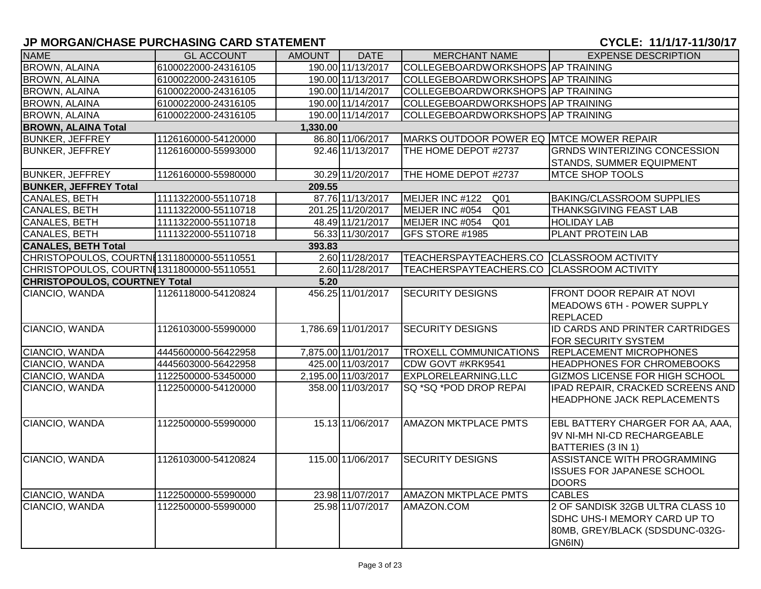| <b>NAME</b>                          | <b>GL ACCOUNT</b>                          | AMOUNT   | <b>DATE</b>         | <b>MERCHANT NAME</b>                      | <b>EXPENSE DESCRIPTION</b>                                                                                    |
|--------------------------------------|--------------------------------------------|----------|---------------------|-------------------------------------------|---------------------------------------------------------------------------------------------------------------|
| <b>BROWN, ALAINA</b>                 | 6100022000-24316105                        |          | 190.00 11/13/2017   | COLLEGEBOARDWORKSHOPS AP TRAINING         |                                                                                                               |
| <b>BROWN, ALAINA</b>                 | 6100022000-24316105                        |          | 190.00 11/13/2017   | COLLEGEBOARDWORKSHOPS AP TRAINING         |                                                                                                               |
| <b>BROWN, ALAINA</b>                 | 6100022000-24316105                        |          | 190.00 11/14/2017   | COLLEGEBOARDWORKSHOPS AP TRAINING         |                                                                                                               |
| <b>BROWN, ALAINA</b>                 | 6100022000-24316105                        |          | 190.00 11/14/2017   | COLLEGEBOARDWORKSHOPS AP TRAINING         |                                                                                                               |
| <b>BROWN, ALAINA</b>                 | 6100022000-24316105                        |          | 190.00 11/14/2017   | COLLEGEBOARDWORKSHOPS AP TRAINING         |                                                                                                               |
| <b>BROWN, ALAINA Total</b>           |                                            | 1,330.00 |                     |                                           |                                                                                                               |
| <b>BUNKER, JEFFREY</b>               | 1126160000-54120000                        |          | 86.80 11/06/2017    | MARKS OUTDOOR POWER EQ MTCE MOWER REPAIR  |                                                                                                               |
| <b>BUNKER, JEFFREY</b>               | 1126160000-55993000                        |          | 92.46 11/13/2017    | THE HOME DEPOT #2737                      | <b>GRNDS WINTERIZING CONCESSION</b><br>STANDS, SUMMER EQUIPMENT                                               |
| <b>BUNKER, JEFFREY</b>               | 1126160000-55980000                        |          | 30.29 11/20/2017    | THE HOME DEPOT #2737                      | <b>MTCE SHOP TOOLS</b>                                                                                        |
| <b>BUNKER, JEFFREY Total</b>         |                                            | 209.55   |                     |                                           |                                                                                                               |
| <b>CANALES, BETH</b>                 | 1111322000-55110718                        |          | 87.76 11/13/2017    | MEIJER INC #122<br>Q <sub>01</sub>        | <b>BAKING/CLASSROOM SUPPLIES</b>                                                                              |
| CANALES, BETH                        | 1111322000-55110718                        |          | 201.25 11/20/2017   | MEIJER INC #054<br>Q <sub>01</sub>        | THANKSGIVING FEAST LAB                                                                                        |
| CANALES, BETH                        | 1111322000-55110718                        |          | 48.49 11/21/2017    | MEIJER INC #054<br>Q <sub>01</sub>        | <b>HOLIDAY LAB</b>                                                                                            |
| <b>CANALES, BETH</b>                 | 1111322000-55110718                        |          | 56.33 11/30/2017    | GFS STORE #1985                           | <b>PLANT PROTEIN LAB</b>                                                                                      |
| <b>CANALES, BETH Total</b>           |                                            | 393.83   |                     |                                           |                                                                                                               |
|                                      | CHRISTOPOULOS, COURTNI1311800000-55110551  |          | 2.60 11/28/2017     | TEACHERSPAYTEACHERS.CO CLASSROOM ACTIVITY |                                                                                                               |
|                                      | CHRISTOPOULOS, COURTNI 1311800000-55110551 |          | 2.60 11/28/2017     | TEACHERSPAYTEACHERS.CO CLASSROOM ACTIVITY |                                                                                                               |
| <b>CHRISTOPOULOS, COURTNEY Total</b> |                                            | 5.20     |                     |                                           |                                                                                                               |
| CIANCIO, WANDA                       | 1126118000-54120824                        |          | 456.25 11/01/2017   | <b>SECURITY DESIGNS</b>                   | <b>FRONT DOOR REPAIR AT NOVI</b><br>MEADOWS 6TH - POWER SUPPLY<br><b>REPLACED</b>                             |
| CIANCIO, WANDA                       | 1126103000-55990000                        |          | 1,786.69 11/01/2017 | <b>SECURITY DESIGNS</b>                   | ID CARDS AND PRINTER CARTRIDGES<br><b>FOR SECURITY SYSTEM</b>                                                 |
| CIANCIO, WANDA                       | 4445600000-56422958                        |          | 7,875.00 11/01/2017 | <b>TROXELL COMMUNICATIONS</b>             | <b>REPLACEMENT MICROPHONES</b>                                                                                |
| CIANCIO, WANDA                       | 4445603000-56422958                        |          | 425.00 11/03/2017   | CDW GOVT #KRK9541                         | <b>HEADPHONES FOR CHROMEBOOKS</b>                                                                             |
| CIANCIO, WANDA                       | 1122500000-53450000                        |          | 2,195.00 11/03/2017 | EXPLORELEARNING, LLC                      | <b>GIZMOS LICENSE FOR HIGH SCHOOL</b>                                                                         |
| CIANCIO, WANDA                       | 1122500000-54120000                        |          | 358.00 11/03/2017   | SQ *SQ *POD DROP REPAI                    | IPAD REPAIR, CRACKED SCREENS AND<br><b>HEADPHONE JACK REPLACEMENTS</b>                                        |
| CIANCIO, WANDA                       | 1122500000-55990000                        |          | 15.13 11/06/2017    | <b>AMAZON MKTPLACE PMTS</b>               | EBL BATTERY CHARGER FOR AA, AAA,<br>9V NI-MH NI-CD RECHARGEABLE<br>BATTERIES (3 IN 1)                         |
| CIANCIO, WANDA                       | 1126103000-54120824                        |          | 115.00 11/06/2017   | <b>SECURITY DESIGNS</b>                   | ASSISTANCE WITH PROGRAMMING<br>ISSUES FOR JAPANESE SCHOOL<br><b>DOORS</b>                                     |
| CIANCIO, WANDA                       | 1122500000-55990000                        |          | 23.98 11/07/2017    | <b>AMAZON MKTPLACE PMTS</b>               | <b>CABLES</b>                                                                                                 |
| CIANCIO, WANDA                       | 1122500000-55990000                        |          | 25.98 11/07/2017    | AMAZON.COM                                | 2 OF SANDISK 32GB ULTRA CLASS 10<br>SDHC UHS-I MEMORY CARD UP TO<br>80MB, GREY/BLACK (SDSDUNC-032G-<br>GN6IN) |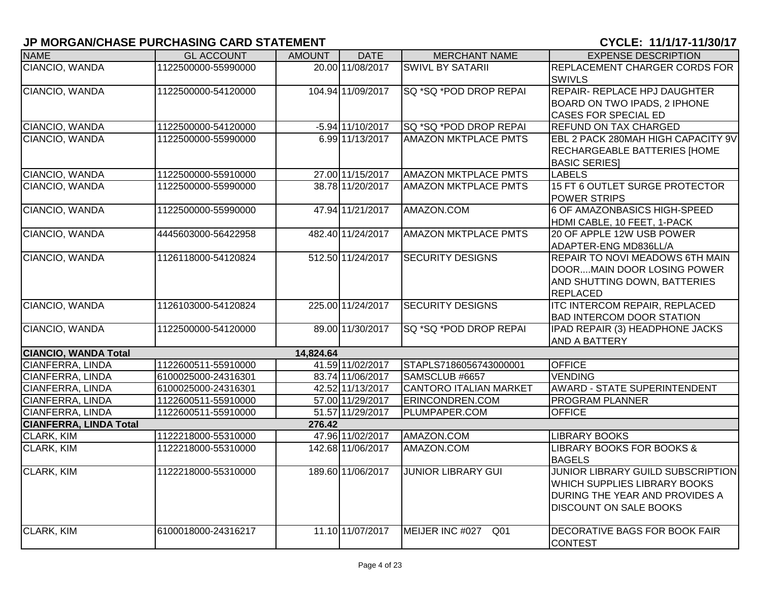| <b>NAME</b>                   | <b>GL ACCOUNT</b>   | <b>AMOUNT</b> | <b>DATE</b>        | <b>MERCHANT NAME</b>          | <b>EXPENSE DESCRIPTION</b>           |
|-------------------------------|---------------------|---------------|--------------------|-------------------------------|--------------------------------------|
| CIANCIO, WANDA                | 1122500000-55990000 |               | 20.00 11/08/2017   | <b>SWIVL BY SATARII</b>       | REPLACEMENT CHARGER CORDS FOR        |
|                               |                     |               |                    |                               | <b>SWIVLS</b>                        |
| CIANCIO, WANDA                | 1122500000-54120000 |               | 104.94 11/09/2017  | SQ *SQ *POD DROP REPAI        | REPAIR- REPLACE HPJ DAUGHTER         |
|                               |                     |               |                    |                               | BOARD ON TWO IPADS, 2 IPHONE         |
|                               |                     |               |                    |                               | <b>CASES FOR SPECIAL ED</b>          |
| CIANCIO, WANDA                | 1122500000-54120000 |               | $-5.94$ 11/10/2017 | SQ *SQ *POD DROP REPAI        | <b>REFUND ON TAX CHARGED</b>         |
| CIANCIO, WANDA                | 1122500000-55990000 |               | 6.99 11/13/2017    | <b>AMAZON MKTPLACE PMTS</b>   | EBL 2 PACK 280MAH HIGH CAPACITY 9V   |
|                               |                     |               |                    |                               | <b>RECHARGEABLE BATTERIES [HOME</b>  |
|                               |                     |               |                    |                               | <b>BASIC SERIES]</b>                 |
| CIANCIO, WANDA                | 1122500000-55910000 |               | 27.00 11/15/2017   | <b>AMAZON MKTPLACE PMTS</b>   | <b>LABELS</b>                        |
| CIANCIO, WANDA                | 1122500000-55990000 |               | 38.78 11/20/2017   | <b>AMAZON MKTPLACE PMTS</b>   | 15 FT 6 OUTLET SURGE PROTECTOR       |
|                               |                     |               |                    |                               | <b>POWER STRIPS</b>                  |
| CIANCIO, WANDA                | 1122500000-55990000 |               | 47.94 11/21/2017   | AMAZON.COM                    | 6 OF AMAZONBASICS HIGH-SPEED         |
|                               |                     |               |                    |                               | HDMI CABLE, 10 FEET, 1-PACK          |
| CIANCIO, WANDA                | 4445603000-56422958 |               | 482.40 11/24/2017  | <b>AMAZON MKTPLACE PMTS</b>   | 20 OF APPLE 12W USB POWER            |
|                               |                     |               |                    |                               | ADAPTER-ENG MD836LL/A                |
| CIANCIO, WANDA                | 1126118000-54120824 |               | 512.50 11/24/2017  | <b>SECURITY DESIGNS</b>       | REPAIR TO NOVI MEADOWS 6TH MAIN      |
|                               |                     |               |                    |                               | DOORMAIN DOOR LOSING POWER           |
|                               |                     |               |                    |                               | AND SHUTTING DOWN, BATTERIES         |
|                               |                     |               |                    |                               | <b>REPLACED</b>                      |
| CIANCIO, WANDA                | 1126103000-54120824 |               | 225.00 11/24/2017  | <b>SECURITY DESIGNS</b>       | <b>ITC INTERCOM REPAIR, REPLACED</b> |
|                               |                     |               |                    |                               | <b>BAD INTERCOM DOOR STATION</b>     |
| CIANCIO, WANDA                | 1122500000-54120000 |               | 89.00 11/30/2017   | SQ *SQ *POD DROP REPAI        | IPAD REPAIR (3) HEADPHONE JACKS      |
|                               |                     |               |                    |                               | <b>AND A BATTERY</b>                 |
| <b>CIANCIO, WANDA Total</b>   |                     | 14,824.64     |                    |                               |                                      |
| <b>CIANFERRA, LINDA</b>       | 1122600511-55910000 |               | 41.59 11/02/2017   | STAPLS7186056743000001        | <b>OFFICE</b>                        |
| CIANFERRA, LINDA              | 6100025000-24316301 |               | 83.74 11/06/2017   | SAMSCLUB #6657                | <b>VENDING</b>                       |
| CIANFERRA, LINDA              | 6100025000-24316301 |               | 42.52 11/13/2017   | <b>CANTORO ITALIAN MARKET</b> | AWARD - STATE SUPERINTENDENT         |
| CIANFERRA, LINDA              | 1122600511-55910000 |               | 57.00 11/29/2017   | ERINCONDREN.COM               | <b>PROGRAM PLANNER</b>               |
| CIANFERRA, LINDA              | 1122600511-55910000 |               | 51.57 11/29/2017   | PLUMPAPER.COM                 | <b>OFFICE</b>                        |
| <b>CIANFERRA, LINDA Total</b> |                     | 276.42        |                    |                               |                                      |
| CLARK, KIM                    | 1122218000-55310000 |               | 47.96 11/02/2017   | AMAZON.COM                    | <b>LIBRARY BOOKS</b>                 |
| <b>CLARK, KIM</b>             | 1122218000-55310000 |               | 142.68 11/06/2017  | AMAZON.COM                    | LIBRARY BOOKS FOR BOOKS &            |
|                               |                     |               |                    |                               | <b>BAGELS</b>                        |
| <b>CLARK, KIM</b>             | 1122218000-55310000 |               | 189.60 11/06/2017  | <b>JUNIOR LIBRARY GUI</b>     | JUNIOR LIBRARY GUILD SUBSCRIPTION    |
|                               |                     |               |                    |                               | WHICH SUPPLIES LIBRARY BOOKS         |
|                               |                     |               |                    |                               | DURING THE YEAR AND PROVIDES A       |
|                               |                     |               |                    |                               | <b>DISCOUNT ON SALE BOOKS</b>        |
|                               |                     |               |                    |                               |                                      |
| <b>CLARK, KIM</b>             | 6100018000-24316217 |               | 11.10 11/07/2017   | MEIJER INC #027<br>Q01        | DECORATIVE BAGS FOR BOOK FAIR        |
|                               |                     |               |                    |                               | <b>CONTEST</b>                       |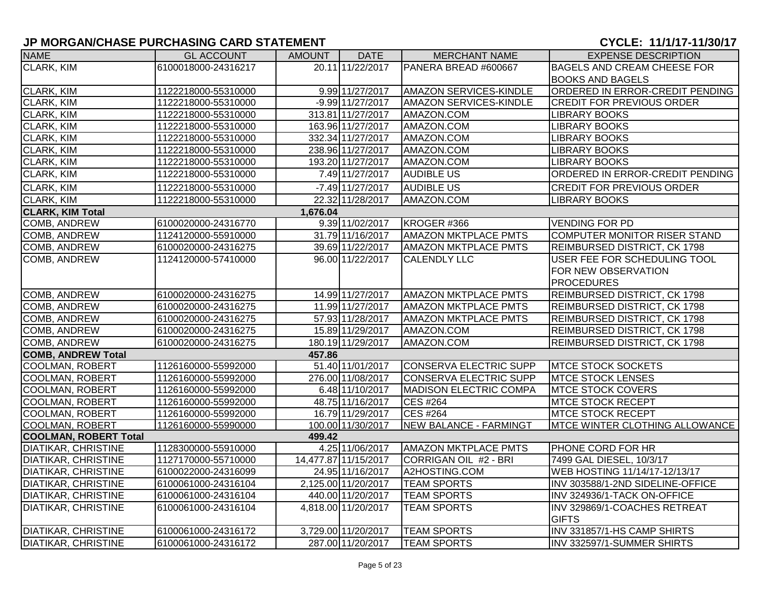| <b>NAME</b>                  | <b>GL ACCOUNT</b>   | <b>AMOUNT</b> | <b>DATE</b>          | <b>MERCHANT NAME</b>          | <b>EXPENSE DESCRIPTION</b>            |
|------------------------------|---------------------|---------------|----------------------|-------------------------------|---------------------------------------|
| CLARK, KIM                   | 6100018000-24316217 |               | 20.11 11/22/2017     | PANERA BREAD #600667          | <b>BAGELS AND CREAM CHEESE FOR</b>    |
|                              |                     |               |                      |                               | <b>BOOKS AND BAGELS</b>               |
| CLARK, KIM                   | 1122218000-55310000 |               | 9.99 11/27/2017      | AMAZON SERVICES-KINDLE        | ORDERED IN ERROR-CREDIT PENDING       |
| CLARK, KIM                   | 1122218000-55310000 |               | $-9.99$ 11/27/2017   | <b>AMAZON SERVICES-KINDLE</b> | <b>CREDIT FOR PREVIOUS ORDER</b>      |
| CLARK, KIM                   | 1122218000-55310000 |               | 313.81 11/27/2017    | AMAZON.COM                    | <b>LIBRARY BOOKS</b>                  |
| <b>CLARK, KIM</b>            | 1122218000-55310000 |               | 163.96 11/27/2017    | AMAZON.COM                    | <b>LIBRARY BOOKS</b>                  |
| CLARK, KIM                   | 1122218000-55310000 |               | 332.34 11/27/2017    | AMAZON.COM                    | <b>LIBRARY BOOKS</b>                  |
| CLARK, KIM                   | 1122218000-55310000 |               | 238.96 11/27/2017    | AMAZON.COM                    | <b>LIBRARY BOOKS</b>                  |
| CLARK, KIM                   | 1122218000-55310000 |               | 193.20 11/27/2017    | AMAZON.COM                    | <b>LIBRARY BOOKS</b>                  |
| CLARK, KIM                   | 1122218000-55310000 |               | 7.49 11/27/2017      | <b>AUDIBLE US</b>             | ORDERED IN ERROR-CREDIT PENDING       |
| <b>CLARK, KIM</b>            | 1122218000-55310000 |               | $-7.49$ 11/27/2017   | <b>AUDIBLE US</b>             | <b>CREDIT FOR PREVIOUS ORDER</b>      |
| <b>CLARK, KIM</b>            | 1122218000-55310000 |               | 22.32 11/28/2017     | AMAZON.COM                    | <b>LIBRARY BOOKS</b>                  |
| <b>CLARK, KIM Total</b>      |                     | 1,676.04      |                      |                               |                                       |
| COMB, ANDREW                 | 6100020000-24316770 |               | 9.39 11/02/2017      | KROGER #366                   | <b>VENDING FOR PD</b>                 |
| <b>COMB, ANDREW</b>          | 1124120000-55910000 |               | 31.79 11/16/2017     | <b>AMAZON MKTPLACE PMTS</b>   | <b>COMPUTER MONITOR RISER STAND</b>   |
| <b>COMB, ANDREW</b>          | 6100020000-24316275 |               | 39.69 11/22/2017     | <b>AMAZON MKTPLACE PMTS</b>   | <b>REIMBURSED DISTRICT, CK 1798</b>   |
| <b>COMB, ANDREW</b>          | 1124120000-57410000 |               | 96.00 11/22/2017     | <b>CALENDLY LLC</b>           | USER FEE FOR SCHEDULING TOOL          |
|                              |                     |               |                      |                               | FOR NEW OBSERVATION                   |
|                              |                     |               |                      |                               | <b>PROCEDURES</b>                     |
| <b>COMB, ANDREW</b>          | 6100020000-24316275 |               | 14.99 11/27/2017     | <b>AMAZON MKTPLACE PMTS</b>   | <b>REIMBURSED DISTRICT, CK 1798</b>   |
| COMB, ANDREW                 | 6100020000-24316275 |               | 11.99 11/27/2017     | <b>AMAZON MKTPLACE PMTS</b>   | REIMBURSED DISTRICT, CK 1798          |
| COMB, ANDREW                 | 6100020000-24316275 |               | 57.93 11/28/2017     | <b>AMAZON MKTPLACE PMTS</b>   | <b>REIMBURSED DISTRICT, CK 1798</b>   |
| COMB, ANDREW                 | 6100020000-24316275 |               | 15.89 11/29/2017     | AMAZON.COM                    | REIMBURSED DISTRICT, CK 1798          |
| COMB, ANDREW                 | 6100020000-24316275 |               | 180.19 11/29/2017    | AMAZON.COM                    | <b>REIMBURSED DISTRICT, CK 1798</b>   |
| <b>COMB, ANDREW Total</b>    |                     | 457.86        |                      |                               |                                       |
| COOLMAN, ROBERT              | 1126160000-55992000 |               | 51.40 11/01/2017     | CONSERVA ELECTRIC SUPP        | <b>MTCE STOCK SOCKETS</b>             |
| <b>COOLMAN, ROBERT</b>       | 1126160000-55992000 |               | 276.00 11/08/2017    | CONSERVA ELECTRIC SUPP        | <b>MTCE STOCK LENSES</b>              |
| <b>COOLMAN, ROBERT</b>       | 1126160000-55992000 |               | 6.48 11/10/2017      | <b>MADISON ELECTRIC COMPA</b> | <b>MTCE STOCK COVERS</b>              |
| <b>COOLMAN, ROBERT</b>       | 1126160000-55992000 |               | 48.75 11/16/2017     | CES #264                      | <b>MTCE STOCK RECEPT</b>              |
| COOLMAN, ROBERT              | 1126160000-55992000 |               | 16.79 11/29/2017     | CES #264                      | <b>MTCE STOCK RECEPT</b>              |
| <b>COOLMAN, ROBERT</b>       | 1126160000-55990000 |               | 100.00 11/30/2017    | <b>NEW BALANCE - FARMINGT</b> | <b>MTCE WINTER CLOTHING ALLOWANCE</b> |
| <b>COOLMAN, ROBERT Total</b> |                     | 499.42        |                      |                               |                                       |
| <b>DIATIKAR, CHRISTINE</b>   | 1128300000-55910000 |               | 4.25 11/06/2017      | <b>AMAZON MKTPLACE PMTS</b>   | PHONE CORD FOR HR                     |
| <b>DIATIKAR, CHRISTINE</b>   | 1127170000-55710000 |               | 14,477.87 11/15/2017 | CORRIGAN OIL #2 - BRI         | 7499 GAL DIESEL, 10/3/17              |
| <b>DIATIKAR, CHRISTINE</b>   | 6100022000-24316099 |               | 24.95 11/16/2017     | A2HOSTING.COM                 | WEB HOSTING 11/14/17-12/13/17         |
| <b>DIATIKAR, CHRISTINE</b>   | 6100061000-24316104 |               | 2,125.00 11/20/2017  | <b>TEAM SPORTS</b>            | INV 303588/1-2ND SIDELINE-OFFICE      |
| <b>DIATIKAR, CHRISTINE</b>   | 6100061000-24316104 |               | 440.00 11/20/2017    | <b>TEAM SPORTS</b>            | INV 324936/1-TACK ON-OFFICE           |
| <b>DIATIKAR, CHRISTINE</b>   | 6100061000-24316104 |               | 4,818.00 11/20/2017  | TEAM SPORTS                   | INV 329869/1-COACHES RETREAT          |
|                              |                     |               |                      |                               | <b>GIFTS</b>                          |
| <b>DIATIKAR, CHRISTINE</b>   | 6100061000-24316172 |               | 3,729.00 11/20/2017  | <b>TEAM SPORTS</b>            | INV 331857/1-HS CAMP SHIRTS           |
| <b>DIATIKAR, CHRISTINE</b>   | 6100061000-24316172 |               | 287.00 11/20/2017    | <b>TEAM SPORTS</b>            | INV 332597/1-SUMMER SHIRTS            |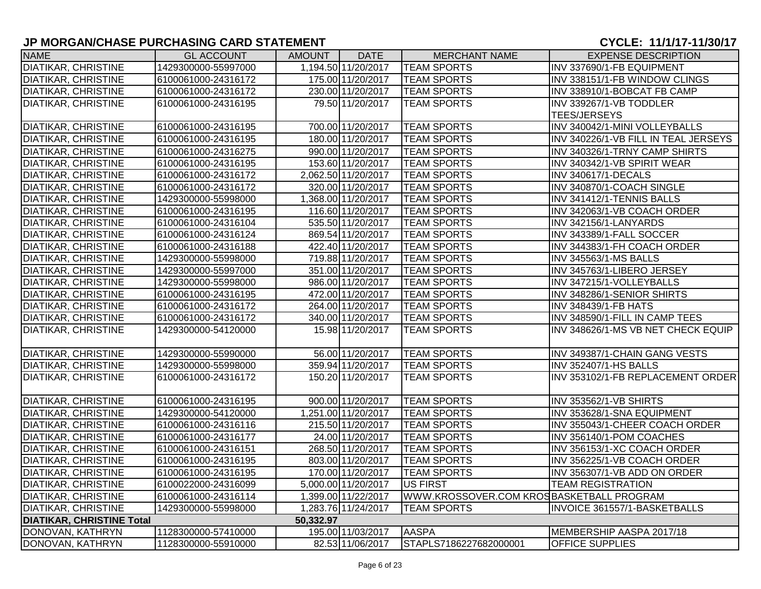| <b>NAME</b>                      | <b>GL ACCOUNT</b>   | AMOUNT    | <b>DATE</b>         | <b>MERCHANT NAME</b>                     | <b>EXPENSE DESCRIPTION</b>           |
|----------------------------------|---------------------|-----------|---------------------|------------------------------------------|--------------------------------------|
| <b>DIATIKAR, CHRISTINE</b>       | 1429300000-55997000 |           | 1,194.50 11/20/2017 | <b>TEAM SPORTS</b>                       | INV 337690/1-FB EQUIPMENT            |
| <b>DIATIKAR, CHRISTINE</b>       | 6100061000-24316172 |           | 175.00 11/20/2017   | <b>TEAM SPORTS</b>                       | INV 338151/1-FB WINDOW CLINGS        |
| <b>DIATIKAR, CHRISTINE</b>       | 6100061000-24316172 |           | 230.00 11/20/2017   | <b>TEAM SPORTS</b>                       | INV 338910/1-BOBCAT FB CAMP          |
| <b>DIATIKAR, CHRISTINE</b>       | 6100061000-24316195 |           | 79.50 11/20/2017    | <b>TEAM SPORTS</b>                       | INV 339267/1-VB TODDLER              |
|                                  |                     |           |                     |                                          | <b>TEES/JERSEYS</b>                  |
| <b>DIATIKAR, CHRISTINE</b>       | 6100061000-24316195 |           | 700.00 11/20/2017   | <b>TEAM SPORTS</b>                       | INV 340042/1-MINI VOLLEYBALLS        |
| <b>DIATIKAR, CHRISTINE</b>       | 6100061000-24316195 |           | 180.00 11/20/2017   | <b>TEAM SPORTS</b>                       | INV 340226/1-VB FILL IN TEAL JERSEYS |
| <b>DIATIKAR, CHRISTINE</b>       | 6100061000-24316275 |           | 990.00 11/20/2017   | <b>TEAM SPORTS</b>                       | INV 340326/1-TRNY CAMP SHIRTS        |
| <b>DIATIKAR, CHRISTINE</b>       | 6100061000-24316195 |           | 153.60 11/20/2017   | <b>TEAM SPORTS</b>                       | INV 340342/1-VB SPIRIT WEAR          |
| <b>DIATIKAR, CHRISTINE</b>       | 6100061000-24316172 |           | 2,062.50 11/20/2017 | <b>TEAM SPORTS</b>                       | INV 340617/1-DECALS                  |
| <b>DIATIKAR, CHRISTINE</b>       | 6100061000-24316172 |           | 320.00 11/20/2017   | <b>TEAM SPORTS</b>                       | INV 340870/1-COACH SINGLE            |
| <b>DIATIKAR, CHRISTINE</b>       | 1429300000-55998000 |           | 1,368.00 11/20/2017 | <b>TEAM SPORTS</b>                       | INV 341412/1-TENNIS BALLS            |
| <b>DIATIKAR, CHRISTINE</b>       | 6100061000-24316195 |           | 116.60 11/20/2017   | <b>TEAM SPORTS</b>                       | INV 342063/1-VB COACH ORDER          |
| <b>DIATIKAR, CHRISTINE</b>       | 6100061000-24316104 |           | 535.50 11/20/2017   | <b>TEAM SPORTS</b>                       | INV 342156/1-LANYARDS                |
| <b>DIATIKAR, CHRISTINE</b>       | 6100061000-24316124 |           | 869.54 11/20/2017   | <b>TEAM SPORTS</b>                       | INV 343389/1-FALL SOCCER             |
| <b>DIATIKAR, CHRISTINE</b>       | 6100061000-24316188 |           | 422.40 11/20/2017   | <b>TEAM SPORTS</b>                       | INV 344383/1-FH COACH ORDER          |
| <b>DIATIKAR, CHRISTINE</b>       | 1429300000-55998000 |           | 719.88 11/20/2017   | <b>TEAM SPORTS</b>                       | INV 345563/1-MS BALLS                |
| <b>DIATIKAR, CHRISTINE</b>       | 1429300000-55997000 |           | 351.00 11/20/2017   | <b>TEAM SPORTS</b>                       | INV 345763/1-LIBERO JERSEY           |
| <b>DIATIKAR, CHRISTINE</b>       | 1429300000-55998000 |           | 986.00 11/20/2017   | <b>TEAM SPORTS</b>                       | INV 347215/1-VOLLEYBALLS             |
| <b>DIATIKAR, CHRISTINE</b>       | 6100061000-24316195 |           | 472.00 11/20/2017   | <b>TEAM SPORTS</b>                       | INV 348286/1-SENIOR SHIRTS           |
| <b>DIATIKAR, CHRISTINE</b>       | 6100061000-24316172 |           | 264.00 11/20/2017   | <b>TEAM SPORTS</b>                       | <b>INV 348439/1-FB HATS</b>          |
| <b>DIATIKAR, CHRISTINE</b>       | 6100061000-24316172 |           | 340.00 11/20/2017   | <b>TEAM SPORTS</b>                       | INV 348590/1-FILL IN CAMP TEES       |
| <b>DIATIKAR, CHRISTINE</b>       | 1429300000-54120000 |           | 15.98 11/20/2017    | <b>TEAM SPORTS</b>                       | INV 348626/1-MS VB NET CHECK EQUIP   |
|                                  |                     |           |                     |                                          |                                      |
| <b>DIATIKAR, CHRISTINE</b>       | 1429300000-55990000 |           | 56.00 11/20/2017    | <b>TEAM SPORTS</b>                       | INV 349387/1-CHAIN GANG VESTS        |
| <b>DIATIKAR, CHRISTINE</b>       | 1429300000-55998000 |           | 359.94 11/20/2017   | <b>TEAM SPORTS</b>                       | <b>INV 352407/1-HS BALLS</b>         |
| <b>DIATIKAR, CHRISTINE</b>       | 6100061000-24316172 |           | 150.20 11/20/2017   | <b>TEAM SPORTS</b>                       | INV 353102/1-FB REPLACEMENT ORDER    |
|                                  |                     |           |                     |                                          |                                      |
| <b>DIATIKAR, CHRISTINE</b>       | 6100061000-24316195 |           | 900.00 11/20/2017   | <b>TEAM SPORTS</b>                       | INV 353562/1-VB SHIRTS               |
| <b>DIATIKAR, CHRISTINE</b>       | 1429300000-54120000 |           | 1,251.00 11/20/2017 | <b>TEAM SPORTS</b>                       | INV 353628/1-SNA EQUIPMENT           |
| <b>DIATIKAR, CHRISTINE</b>       | 6100061000-24316116 |           | 215.50 11/20/2017   | <b>TEAM SPORTS</b>                       | INV 355043/1-CHEER COACH ORDER       |
| <b>DIATIKAR, CHRISTINE</b>       | 6100061000-24316177 |           | 24.00 11/20/2017    | <b>TEAM SPORTS</b>                       | INV 356140/1-POM COACHES             |
| <b>DIATIKAR, CHRISTINE</b>       | 6100061000-24316151 |           | 268.50 11/20/2017   | <b>TEAM SPORTS</b>                       | INV 356153/1-XC COACH ORDER          |
| <b>DIATIKAR, CHRISTINE</b>       | 6100061000-24316195 |           | 803.00 11/20/2017   | <b>TEAM SPORTS</b>                       | INV 356225/1-VB COACH ORDER          |
| <b>DIATIKAR, CHRISTINE</b>       | 6100061000-24316195 |           | 170.00 11/20/2017   | <b>TEAM SPORTS</b>                       | INV 356307/1-VB ADD ON ORDER         |
| <b>DIATIKAR, CHRISTINE</b>       | 6100022000-24316099 |           | 5,000.00 11/20/2017 | <b>US FIRST</b>                          | <b>TEAM REGISTRATION</b>             |
| <b>DIATIKAR, CHRISTINE</b>       | 6100061000-24316114 |           | 1,399.00 11/22/2017 | WWW.KROSSOVER.COM KROSBASKETBALL PROGRAM |                                      |
| <b>DIATIKAR, CHRISTINE</b>       | 1429300000-55998000 |           | 1,283.76 11/24/2017 | <b>TEAM SPORTS</b>                       | INVOICE 361557/1-BASKETBALLS         |
| <b>DIATIKAR, CHRISTINE Total</b> |                     | 50,332.97 |                     |                                          |                                      |
| DONOVAN, KATHRYN                 | 1128300000-57410000 |           | 195.00 11/03/2017   | <b>AASPA</b>                             | MEMBERSHIP AASPA 2017/18             |
| DONOVAN, KATHRYN                 | 1128300000-55910000 |           | 82.53 11/06/2017    | STAPLS7186227682000001                   | <b>OFFICE SUPPLIES</b>               |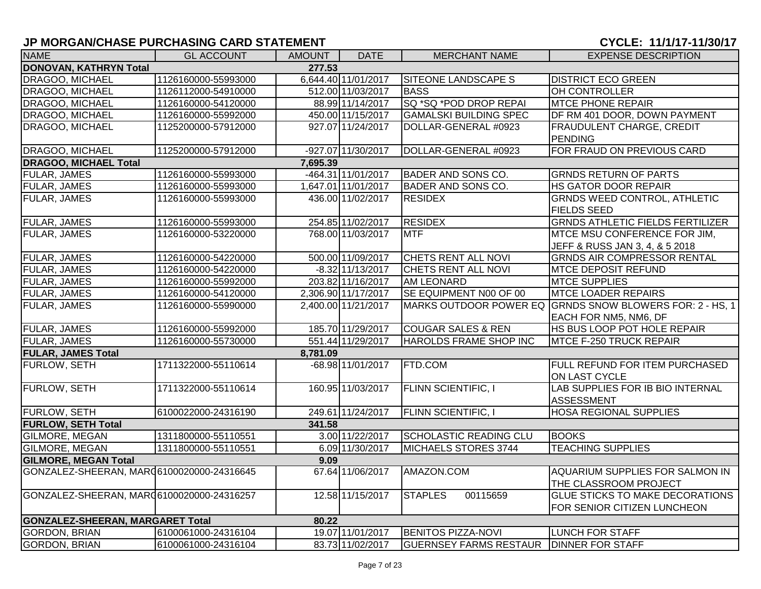# **JP MORGAN/CHASE PURCHASING CARD STATEMENT CHARGE 2012 12:00 2013 12:00 2014 12:00 2014 12:00 2014 12:00 2014 12:00 2014 12:00 2014 12:00 2014 12:00 2014 12:00 2014 12:00 2014 12:00 2014 12:00 2014 12:00 2014 12:00 2014**

| <b>NAME</b>                                | <b>GL ACCOUNT</b>   | <b>AMOUNT</b> | <b>DATE</b>         | <b>MERCHANT NAME</b>          | <b>EXPENSE DESCRIPTION</b>                               |  |  |  |  |
|--------------------------------------------|---------------------|---------------|---------------------|-------------------------------|----------------------------------------------------------|--|--|--|--|
| DONOVAN, KATHRYN Total<br>277.53           |                     |               |                     |                               |                                                          |  |  |  |  |
| <b>DRAGOO, MICHAEL</b>                     | 1126160000-55993000 |               | 6,644.40 11/01/2017 | <b>SITEONE LANDSCAPE S</b>    | <b>DISTRICT ECO GREEN</b>                                |  |  |  |  |
| DRAGOO, MICHAEL                            | 1126112000-54910000 |               | 512.00 11/03/2017   | <b>BASS</b>                   | OH CONTROLLER                                            |  |  |  |  |
| <b>DRAGOO, MICHAEL</b>                     | 1126160000-54120000 |               | 88.99 11/14/2017    | SQ *SQ *POD DROP REPAI        | <b>MTCE PHONE REPAIR</b>                                 |  |  |  |  |
| <b>DRAGOO, MICHAEL</b>                     | 1126160000-55992000 |               | 450.00 11/15/2017   | <b>GAMALSKI BUILDING SPEC</b> | DF RM 401 DOOR, DOWN PAYMENT                             |  |  |  |  |
| DRAGOO, MICHAEL                            | 1125200000-57912000 |               | 927.07 11/24/2017   | DOLLAR-GENERAL #0923          | <b>FRAUDULENT CHARGE, CREDIT</b>                         |  |  |  |  |
|                                            |                     |               |                     |                               | <b>PENDING</b>                                           |  |  |  |  |
| DRAGOO, MICHAEL                            | 1125200000-57912000 |               | -927.07 11/30/2017  | DOLLAR-GENERAL #0923          | FOR FRAUD ON PREVIOUS CARD                               |  |  |  |  |
| <b>DRAGOO, MICHAEL Total</b>               |                     | 7,695.39      |                     |                               |                                                          |  |  |  |  |
| <b>FULAR, JAMES</b>                        | 1126160000-55993000 |               | -464.31 11/01/2017  | <b>BADER AND SONS CO.</b>     | <b>GRNDS RETURN OF PARTS</b>                             |  |  |  |  |
| <b>FULAR, JAMES</b>                        | 1126160000-55993000 |               | 1,647.01 11/01/2017 | <b>BADER AND SONS CO.</b>     | <b>HS GATOR DOOR REPAIR</b>                              |  |  |  |  |
| <b>FULAR, JAMES</b>                        | 1126160000-55993000 |               | 436.00 11/02/2017   | <b>RESIDEX</b>                | <b>GRNDS WEED CONTROL, ATHLETIC</b>                      |  |  |  |  |
|                                            |                     |               |                     |                               | <b>FIELDS SEED</b>                                       |  |  |  |  |
| <b>FULAR, JAMES</b>                        | 1126160000-55993000 |               | 254.85 11/02/2017   | <b>RESIDEX</b>                | <b>GRNDS ATHLETIC FIELDS FERTILIZER</b>                  |  |  |  |  |
| <b>FULAR, JAMES</b>                        | 1126160000-53220000 |               | 768.00 11/03/2017   | <b>MTF</b>                    | MTCE MSU CONFERENCE FOR JIM,                             |  |  |  |  |
|                                            |                     |               |                     |                               | JEFF & RUSS JAN 3, 4, & 5 2018                           |  |  |  |  |
| <b>FULAR, JAMES</b>                        | 1126160000-54220000 |               | 500.00 11/09/2017   | CHETS RENT ALL NOVI           | <b>GRNDS AIR COMPRESSOR RENTAL</b>                       |  |  |  |  |
| <b>FULAR, JAMES</b>                        | 1126160000-54220000 |               | $-8.32$ 11/13/2017  | CHETS RENT ALL NOVI           | <b>MTCE DEPOSIT REFUND</b>                               |  |  |  |  |
| <b>FULAR, JAMES</b>                        | 1126160000-55992000 |               | 203.82 11/16/2017   | <b>AM LEONARD</b>             | <b>MTCE SUPPLIES</b>                                     |  |  |  |  |
| <b>FULAR, JAMES</b>                        | 1126160000-54120000 |               | 2,306.90 11/17/2017 | SE EQUIPMENT N00 OF 00        | <b>MTCE LOADER REPAIRS</b>                               |  |  |  |  |
| <b>FULAR, JAMES</b>                        | 1126160000-55990000 |               | 2,400.00 11/21/2017 |                               | MARKS OUTDOOR POWER EQ GRNDS SNOW BLOWERS FOR: 2 - HS, 1 |  |  |  |  |
|                                            |                     |               |                     |                               | EACH FOR NM5, NM6, DF                                    |  |  |  |  |
| <b>FULAR, JAMES</b>                        | 1126160000-55992000 |               | 185.70 11/29/2017   | <b>COUGAR SALES &amp; REN</b> | HS BUS LOOP POT HOLE REPAIR                              |  |  |  |  |
| <b>FULAR, JAMES</b>                        | 1126160000-55730000 |               | 551.44 11/29/2017   | <b>HAROLDS FRAME SHOP INC</b> | <b>MTCE F-250 TRUCK REPAIR</b>                           |  |  |  |  |
| <b>FULAR, JAMES Total</b>                  |                     | 8,781.09      |                     |                               |                                                          |  |  |  |  |
| <b>FURLOW, SETH</b>                        | 1711322000-55110614 |               | -68.98 11/01/2017   | <b>FTD.COM</b>                | <b>FULL REFUND FOR ITEM PURCHASED</b>                    |  |  |  |  |
|                                            |                     |               |                     |                               | ON LAST CYCLE                                            |  |  |  |  |
| <b>FURLOW, SETH</b>                        | 1711322000-55110614 |               | 160.95 11/03/2017   | <b>FLINN SCIENTIFIC, I</b>    | LAB SUPPLIES FOR IB BIO INTERNAL                         |  |  |  |  |
|                                            |                     |               |                     |                               | ASSESSMENT                                               |  |  |  |  |
| <b>FURLOW, SETH</b>                        | 6100022000-24316190 |               | 249.61 11/24/2017   | <b>FLINN SCIENTIFIC, I</b>    | <b>HOSA REGIONAL SUPPLIES</b>                            |  |  |  |  |
| <b>FURLOW, SETH Total</b>                  |                     | 341.58        |                     |                               |                                                          |  |  |  |  |
| GILMORE, MEGAN                             | 1311800000-55110551 |               | 3.00 11/22/2017     | <b>SCHOLASTIC READING CLU</b> | <b>BOOKS</b>                                             |  |  |  |  |
| GILMORE, MEGAN                             | 1311800000-55110551 |               | 6.09 11/30/2017     | MICHAELS STORES 3744          | <b>TEACHING SUPPLIES</b>                                 |  |  |  |  |
| <b>GILMORE, MEGAN Total</b>                |                     | 9.09          |                     |                               |                                                          |  |  |  |  |
| GONZALEZ-SHEERAN, MAR (6100020000-24316645 |                     |               | 67.64 11/06/2017    | AMAZON.COM                    | AQUARIUM SUPPLIES FOR SALMON IN                          |  |  |  |  |
|                                            |                     |               |                     |                               | THE CLASSROOM PROJECT                                    |  |  |  |  |
| GONZALEZ-SHEERAN, MAR06100020000-24316257  |                     |               | 12.58 11/15/2017    | <b>STAPLES</b><br>00115659    | <b>GLUE STICKS TO MAKE DECORATIONS</b>                   |  |  |  |  |
|                                            |                     |               |                     |                               | FOR SENIOR CITIZEN LUNCHEON                              |  |  |  |  |
| <b>GONZALEZ-SHEERAN, MARGARET Total</b>    |                     | 80.22         |                     |                               |                                                          |  |  |  |  |
| <b>GORDON, BRIAN</b>                       | 6100061000-24316104 |               | 19.07 11/01/2017    | <b>BENITOS PIZZA-NOVI</b>     | <b>LUNCH FOR STAFF</b>                                   |  |  |  |  |
| <b>GORDON, BRIAN</b>                       | 6100061000-24316104 |               | 83.73 11/02/2017    | <b>GUERNSEY FARMS RESTAUR</b> | <b>DINNER FOR STAFF</b>                                  |  |  |  |  |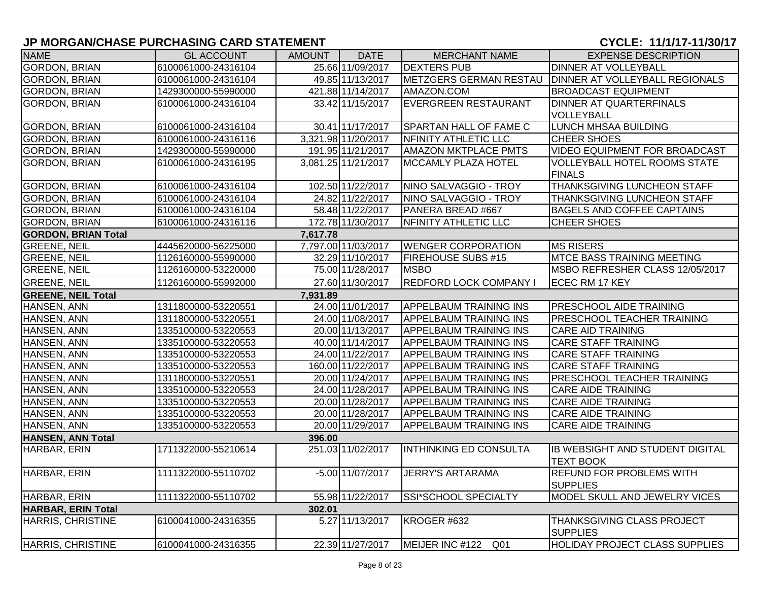| <b>NAME</b>                | <b>GL ACCOUNT</b>   | <b>AMOUNT</b> | <b>DATE</b>         | <b>MERCHANT NAME</b>          | <b>EXPENSE DESCRIPTION</b>                           |
|----------------------------|---------------------|---------------|---------------------|-------------------------------|------------------------------------------------------|
| <b>GORDON, BRIAN</b>       | 6100061000-24316104 |               | 25.66 11/09/2017    | <b>DEXTERS PUB</b>            | <b>DINNER AT VOLLEYBALL</b>                          |
| <b>GORDON, BRIAN</b>       | 6100061000-24316104 |               | 49.85 11/13/2017    | METZGERS GERMAN RESTAU        | <b>DINNER AT VOLLEYBALL REGIONALS</b>                |
| <b>GORDON, BRIAN</b>       | 1429300000-55990000 |               | 421.88 11/14/2017   | AMAZON.COM                    | <b>BROADCAST EQUIPMENT</b>                           |
| <b>GORDON, BRIAN</b>       | 6100061000-24316104 |               | 33.42 11/15/2017    | <b>EVERGREEN RESTAURANT</b>   | DINNER AT QUARTERFINALS                              |
|                            |                     |               |                     |                               | VOLLEYBALL                                           |
| <b>GORDON, BRIAN</b>       | 6100061000-24316104 |               | 30.41 11/17/2017    | <b>SPARTAN HALL OF FAME C</b> | <b>LUNCH MHSAA BUILDING</b>                          |
| <b>GORDON, BRIAN</b>       | 6100061000-24316116 |               | 3,321.98 11/20/2017 | NFINITY ATHLETIC LLC          | <b>CHEER SHOES</b>                                   |
| GORDON, BRIAN              | 1429300000-55990000 |               | 191.95 11/21/2017   | <b>AMAZON MKTPLACE PMTS</b>   | VIDEO EQUIPMENT FOR BROADCAST                        |
| <b>GORDON, BRIAN</b>       | 6100061000-24316195 |               | 3,081.25 11/21/2017 | MCCAMLY PLAZA HOTEL           | VOLLEYBALL HOTEL ROOMS STATE                         |
|                            |                     |               |                     |                               | <b>FINALS</b>                                        |
| <b>GORDON, BRIAN</b>       | 6100061000-24316104 |               | 102.50 11/22/2017   | NINO SALVAGGIO - TROY         | THANKSGIVING LUNCHEON STAFF                          |
| <b>GORDON, BRIAN</b>       | 6100061000-24316104 |               | 24.82 11/22/2017    | NINO SALVAGGIO - TROY         | <b>THANKSGIVING LUNCHEON STAFF</b>                   |
| <b>GORDON, BRIAN</b>       | 6100061000-24316104 |               | 58.48 11/22/2017    | PANERA BREAD #667             | <b>BAGELS AND COFFEE CAPTAINS</b>                    |
| <b>GORDON, BRIAN</b>       | 6100061000-24316116 |               | 172.78 11/30/2017   | NFINITY ATHLETIC LLC          | <b>CHEER SHOES</b>                                   |
| <b>GORDON, BRIAN Total</b> |                     | 7,617.78      |                     |                               |                                                      |
| <b>GREENE, NEIL</b>        | 4445620000-56225000 |               | 7,797.00 11/03/2017 | <b>WENGER CORPORATION</b>     | <b>MS RISERS</b>                                     |
| <b>GREENE, NEIL</b>        | 1126160000-55990000 |               | 32.29 11/10/2017    | <b>FIREHOUSE SUBS #15</b>     | <b>MTCE BASS TRAINING MEETING</b>                    |
| <b>GREENE, NEIL</b>        | 1126160000-53220000 |               | 75.00 11/28/2017    | <b>MSBO</b>                   | MSBO REFRESHER CLASS 12/05/2017                      |
| <b>GREENE, NEIL</b>        | 1126160000-55992000 |               | 27.60 11/30/2017    | <b>REDFORD LOCK COMPANY I</b> | ECEC RM 17 KEY                                       |
| <b>GREENE, NEIL Total</b>  |                     | 7,931.89      |                     |                               |                                                      |
| HANSEN, ANN                | 1311800000-53220551 |               | 24.00 11/01/2017    | <b>APPELBAUM TRAINING INS</b> | <b>PRESCHOOL AIDE TRAINING</b>                       |
| HANSEN, ANN                | 1311800000-53220551 |               | 24.00 11/08/2017    | <b>APPELBAUM TRAINING INS</b> | PRESCHOOL TEACHER TRAINING                           |
| HANSEN, ANN                | 1335100000-53220553 |               | 20.00 11/13/2017    | <b>APPELBAUM TRAINING INS</b> | <b>CARE AID TRAINING</b>                             |
| HANSEN, ANN                | 1335100000-53220553 |               | 40.00 11/14/2017    | <b>APPELBAUM TRAINING INS</b> | <b>CARE STAFF TRAINING</b>                           |
| HANSEN, ANN                | 1335100000-53220553 |               | 24.00 11/22/2017    | <b>APPELBAUM TRAINING INS</b> | <b>CARE STAFF TRAINING</b>                           |
| HANSEN, ANN                | 1335100000-53220553 |               | 160.00 11/22/2017   | <b>APPELBAUM TRAINING INS</b> | <b>CARE STAFF TRAINING</b>                           |
| HANSEN, ANN                | 1311800000-53220551 |               | 20.00 11/24/2017    | APPELBAUM TRAINING INS        | PRESCHOOL TEACHER TRAINING                           |
| HANSEN, ANN                | 1335100000-53220553 |               | 24.00 11/28/2017    | <b>APPELBAUM TRAINING INS</b> | <b>CARE AIDE TRAINING</b>                            |
| HANSEN, ANN                | 1335100000-53220553 |               | 20.00 11/28/2017    | <b>APPELBAUM TRAINING INS</b> | <b>CARE AIDE TRAINING</b>                            |
| HANSEN, ANN                | 1335100000-53220553 |               | 20.00 11/28/2017    | <b>APPELBAUM TRAINING INS</b> | <b>CARE AIDE TRAINING</b>                            |
| HANSEN, ANN                | 1335100000-53220553 |               | 20.00 11/29/2017    | <b>APPELBAUM TRAINING INS</b> | <b>CARE AIDE TRAINING</b>                            |
| <b>HANSEN, ANN Total</b>   |                     | 396.00        |                     |                               |                                                      |
| HARBAR, ERIN               | 1711322000-55210614 |               | 251.03 11/02/2017   | <b>INTHINKING ED CONSULTA</b> | IB WEBSIGHT AND STUDENT DIGITAL<br><b>TEXT BOOK</b>  |
| HARBAR, ERIN               | 1111322000-55110702 |               | $-5.00$ 11/07/2017  | <b>JERRY'S ARTARAMA</b>       | <b>REFUND FOR PROBLEMS WITH</b><br><b>SUPPLIES</b>   |
| HARBAR, ERIN               | 1111322000-55110702 |               | 55.98 11/22/2017    | <b>SSI*SCHOOL SPECIALTY</b>   | MODEL SKULL AND JEWELRY VICES                        |
| <b>HARBAR, ERIN Total</b>  |                     | 302.01        |                     |                               |                                                      |
| HARRIS, CHRISTINE          | 6100041000-24316355 |               | 5.27 11/13/2017     | KROGER #632                   | <b>THANKSGIVING CLASS PROJECT</b><br><b>SUPPLIES</b> |
| HARRIS, CHRISTINE          | 6100041000-24316355 |               | 22.39 11/27/2017    | MEIJER INC #122 Q01           | <b>HOLIDAY PROJECT CLASS SUPPLIES</b>                |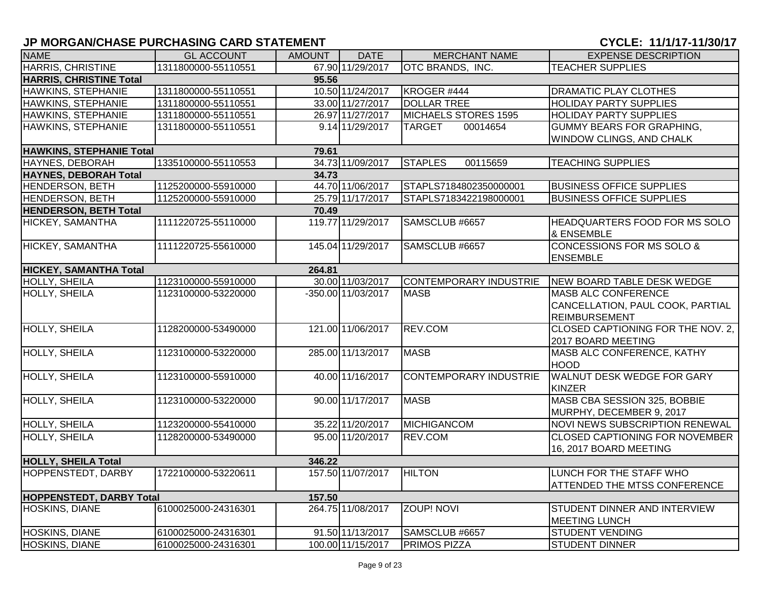| <b>NAME</b>                     | <b>GL ACCOUNT</b>   | AMOUNT | <b>DATE</b>        | <b>MERCHANT NAME</b>          | <b>EXPENSE DESCRIPTION</b>                                    |
|---------------------------------|---------------------|--------|--------------------|-------------------------------|---------------------------------------------------------------|
| <b>HARRIS, CHRISTINE</b>        | 1311800000-55110551 |        | 67.90 11/29/2017   | OTC BRANDS, INC.              | <b>TEACHER SUPPLIES</b>                                       |
| <b>HARRIS, CHRISTINE Total</b>  |                     | 95.56  |                    |                               |                                                               |
| HAWKINS, STEPHANIE              | 1311800000-55110551 |        | 10.50 11/24/2017   | KROGER #444                   | <b>DRAMATIC PLAY CLOTHES</b>                                  |
| HAWKINS, STEPHANIE              | 1311800000-55110551 |        | 33.00 11/27/2017   | <b>DOLLAR TREE</b>            | <b>HOLIDAY PARTY SUPPLIES</b>                                 |
| HAWKINS, STEPHANIE              | 1311800000-55110551 |        | 26.97 11/27/2017   | MICHAELS STORES 1595          | <b>HOLIDAY PARTY SUPPLIES</b>                                 |
| HAWKINS, STEPHANIE              | 1311800000-55110551 |        | 9.14 11/29/2017    | <b>TARGET</b><br>00014654     | <b>GUMMY BEARS FOR GRAPHING,</b>                              |
|                                 |                     |        |                    |                               | <b>WINDOW CLINGS, AND CHALK</b>                               |
| HAWKINS, STEPHANIE Total        |                     | 79.61  |                    |                               |                                                               |
| <b>HAYNES, DEBORAH</b>          | 1335100000-55110553 |        | 34.73 11/09/2017   | <b>STAPLES</b><br>00115659    | <b>TEACHING SUPPLIES</b>                                      |
| <b>HAYNES, DEBORAH Total</b>    |                     | 34.73  |                    |                               |                                                               |
| <b>HENDERSON, BETH</b>          | 1125200000-55910000 |        | 44.70 11/06/2017   | STAPLS7184802350000001        | <b>BUSINESS OFFICE SUPPLIES</b>                               |
| HENDERSON, BETH                 | 1125200000-55910000 |        | 25.79 11/17/2017   | STAPLS7183422198000001        | <b>BUSINESS OFFICE SUPPLIES</b>                               |
| <b>HENDERSON, BETH Total</b>    |                     | 70.49  |                    |                               |                                                               |
| HICKEY, SAMANTHA                | 1111220725-55110000 |        | 119.77 11/29/2017  | SAMSCLUB #6657                | <b>HEADQUARTERS FOOD FOR MS SOLO</b><br><b>&amp; ENSEMBLE</b> |
| HICKEY, SAMANTHA                | 1111220725-55610000 |        | 145.04 11/29/2017  | SAMSCLUB #6657                | <b>CONCESSIONS FOR MS SOLO &amp;</b>                          |
|                                 |                     |        |                    |                               | <b>ENSEMBLE</b>                                               |
| <b>HICKEY, SAMANTHA Total</b>   |                     | 264.81 |                    |                               |                                                               |
| <b>HOLLY, SHEILA</b>            | 1123100000-55910000 |        | 30.00 11/03/2017   | <b>CONTEMPORARY INDUSTRIE</b> | NEW BOARD TABLE DESK WEDGE                                    |
| HOLLY, SHEILA                   | 1123100000-53220000 |        | -350.00 11/03/2017 | <b>MASB</b>                   | MASB ALC CONFERENCE                                           |
|                                 |                     |        |                    |                               | CANCELLATION, PAUL COOK, PARTIAL                              |
|                                 |                     |        |                    |                               | <b>REIMBURSEMENT</b>                                          |
| <b>HOLLY, SHEILA</b>            | 1128200000-53490000 |        | 121.00 11/06/2017  | REV.COM                       | CLOSED CAPTIONING FOR THE NOV. 2,<br>2017 BOARD MEETING       |
| <b>HOLLY, SHEILA</b>            | 1123100000-53220000 |        | 285.00 11/13/2017  | <b>MASB</b>                   | MASB ALC CONFERENCE, KATHY                                    |
|                                 |                     |        |                    |                               | <b>HOOD</b>                                                   |
| <b>HOLLY, SHEILA</b>            | 1123100000-55910000 |        | 40.00 11/16/2017   | <b>CONTEMPORARY INDUSTRIE</b> | <b>WALNUT DESK WEDGE FOR GARY</b>                             |
|                                 |                     |        |                    |                               | KINZER                                                        |
| HOLLY, SHEILA                   | 1123100000-53220000 |        | 90.00 11/17/2017   | <b>MASB</b>                   | MASB CBA SESSION 325, BOBBIE                                  |
|                                 |                     |        |                    |                               | MURPHY, DECEMBER 9, 2017                                      |
| HOLLY, SHEILA                   | 1123200000-55410000 |        | 35.22 11/20/2017   | MICHIGANCOM                   | NOVI NEWS SUBSCRIPTION RENEWAL                                |
| HOLLY, SHEILA                   | 1128200000-53490000 |        | 95.00 11/20/2017   | REV.COM                       | <b>CLOSED CAPTIONING FOR NOVEMBER</b>                         |
|                                 |                     |        |                    |                               | 16, 2017 BOARD MEETING                                        |
| <b>HOLLY, SHEILA Total</b>      |                     | 346.22 |                    |                               |                                                               |
| HOPPENSTEDT, DARBY              | 1722100000-53220611 |        | 157.50 11/07/2017  | <b>HILTON</b>                 | LUNCH FOR THE STAFF WHO                                       |
|                                 |                     |        |                    |                               | <b>ATTENDED THE MTSS CONFERENCE</b>                           |
| <b>HOPPENSTEDT, DARBY Total</b> |                     | 157.50 |                    |                               |                                                               |
| <b>HOSKINS, DIANE</b>           | 6100025000-24316301 |        | 264.75 11/08/2017  | <b>ZOUP! NOVI</b>             | STUDENT DINNER AND INTERVIEW                                  |
|                                 |                     |        |                    |                               | <b>MEETING LUNCH</b>                                          |
| <b>HOSKINS, DIANE</b>           | 6100025000-24316301 |        | 91.50 11/13/2017   | SAMSCLUB #6657                | <b>STUDENT VENDING</b>                                        |
| <b>HOSKINS, DIANE</b>           | 6100025000-24316301 |        | 100.00 11/15/2017  | <b>PRIMOS PIZZA</b>           | <b>STUDENT DINNER</b>                                         |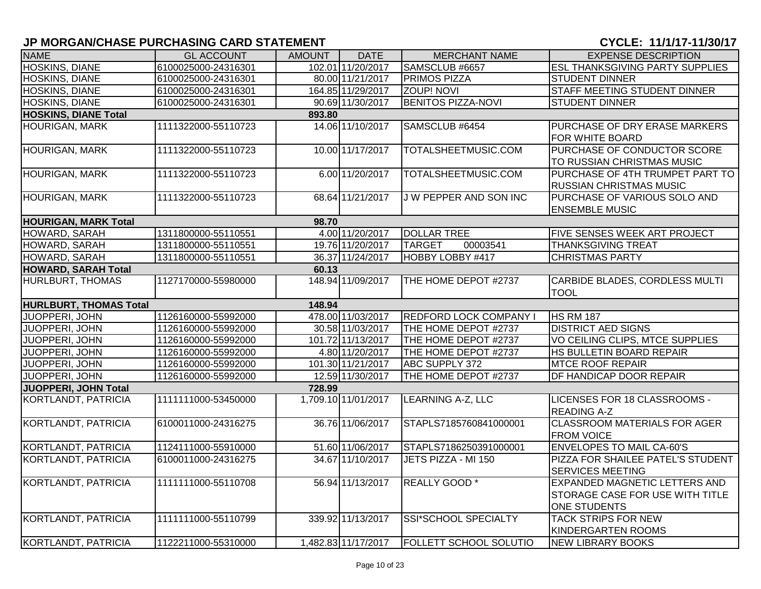| <b>NAME</b>                   | <b>GL ACCOUNT</b>   | <b>AMOUNT</b> | <b>DATE</b>         | <b>MERCHANT NAME</b>          | <b>EXPENSE DESCRIPTION</b>             |
|-------------------------------|---------------------|---------------|---------------------|-------------------------------|----------------------------------------|
| <b>HOSKINS, DIANE</b>         | 6100025000-24316301 |               | 102.01 11/20/2017   | SAMSCLUB #6657                | <b>ESL THANKSGIVING PARTY SUPPLIES</b> |
| HOSKINS, DIANE                | 6100025000-24316301 |               | 80.00 11/21/2017    | <b>PRIMOS PIZZA</b>           | <b>STUDENT DINNER</b>                  |
| HOSKINS, DIANE                | 6100025000-24316301 |               | 164.85 11/29/2017   | <b>ZOUP! NOVI</b>             | STAFF MEETING STUDENT DINNER           |
| HOSKINS, DIANE                | 6100025000-24316301 |               | 90.69 11/30/2017    | <b>BENITOS PIZZA-NOVI</b>     | <b>STUDENT DINNER</b>                  |
| <b>HOSKINS, DIANE Total</b>   |                     | 893.80        |                     |                               |                                        |
| <b>HOURIGAN, MARK</b>         | 1111322000-55110723 |               | 14.06 11/10/2017    | SAMSCLUB #6454                | PURCHASE OF DRY ERASE MARKERS          |
|                               |                     |               |                     |                               | FOR WHITE BOARD                        |
| <b>HOURIGAN, MARK</b>         | 1111322000-55110723 |               | 10.00 11/17/2017    | TOTALSHEETMUSIC.COM           | PURCHASE OF CONDUCTOR SCORE            |
|                               |                     |               |                     |                               | TO RUSSIAN CHRISTMAS MUSIC             |
| HOURIGAN, MARK                | 1111322000-55110723 |               | 6.00 11/20/2017     | TOTALSHEETMUSIC.COM           | PURCHASE OF 4TH TRUMPET PART TO        |
|                               |                     |               |                     |                               | <b>RUSSIAN CHRISTMAS MUSIC</b>         |
| <b>HOURIGAN, MARK</b>         | 1111322000-55110723 |               | 68.64 11/21/2017    | <b>JW PEPPER AND SON INC</b>  | PURCHASE OF VARIOUS SOLO AND           |
|                               |                     |               |                     |                               | <b>ENSEMBLE MUSIC</b>                  |
| <b>HOURIGAN, MARK Total</b>   |                     | 98.70         |                     |                               |                                        |
| HOWARD, SARAH                 | 1311800000-55110551 |               | 4.00 11/20/2017     | <b>DOLLAR TREE</b>            | FIVE SENSES WEEK ART PROJECT           |
| HOWARD, SARAH                 | 1311800000-55110551 |               | 19.76 11/20/2017    | <b>TARGET</b><br>00003541     | <b>THANKSGIVING TREAT</b>              |
| HOWARD, SARAH                 | 1311800000-55110551 |               | 36.37 11/24/2017    | HOBBY LOBBY #417              | <b>CHRISTMAS PARTY</b>                 |
| <b>HOWARD, SARAH Total</b>    |                     | 60.13         |                     |                               |                                        |
| HURLBURT, THOMAS              | 1127170000-55980000 |               | 148.94 11/09/2017   | THE HOME DEPOT #2737          | CARBIDE BLADES, CORDLESS MULTI         |
|                               |                     |               |                     |                               | <b>TOOL</b>                            |
| <b>HURLBURT, THOMAS Total</b> |                     | 148.94        |                     |                               |                                        |
| JUOPPERI, JOHN                | 1126160000-55992000 |               | 478.00 11/03/2017   | <b>REDFORD LOCK COMPANY I</b> | <b>HS RM 187</b>                       |
| JUOPPERI, JOHN                | 1126160000-55992000 |               | 30.58 11/03/2017    | THE HOME DEPOT #2737          | <b>DISTRICT AED SIGNS</b>              |
| <b>JUOPPERI, JOHN</b>         | 1126160000-55992000 |               | 101.72 11/13/2017   | THE HOME DEPOT #2737          | VO CEILING CLIPS, MTCE SUPPLIES        |
| <b>JUOPPERI, JOHN</b>         | 1126160000-55992000 |               | 4.80 11/20/2017     | THE HOME DEPOT #2737          | HS BULLETIN BOARD REPAIR               |
| <b>JUOPPERI, JOHN</b>         | 1126160000-55992000 |               | 101.30 11/21/2017   | <b>ABC SUPPLY 372</b>         | <b>MTCE ROOF REPAIR</b>                |
| <b>JUOPPERI, JOHN</b>         | 1126160000-55992000 |               | 12.59 11/30/2017    | THE HOME DEPOT #2737          | DF HANDICAP DOOR REPAIR                |
| JUOPPERI, JOHN Total          |                     | 728.99        |                     |                               |                                        |
| KORTLANDT, PATRICIA           | 1111111000-53450000 |               | 1,709.10 11/01/2017 | <b>LEARNING A-Z, LLC</b>      | LICENSES FOR 18 CLASSROOMS -           |
|                               |                     |               |                     |                               | <b>READING A-Z</b>                     |
| <b>KORTLANDT, PATRICIA</b>    | 6100011000-24316275 |               | 36.76 11/06/2017    | STAPLS7185760841000001        | <b>CLASSROOM MATERIALS FOR AGER</b>    |
|                               |                     |               |                     |                               | <b>FROM VOICE</b>                      |
| KORTLANDT, PATRICIA           | 1124111000-55910000 |               | 51.60 11/06/2017    | STAPLS7186250391000001        | <b>ENVELOPES TO MAIL CA-60'S</b>       |
| KORTLANDT, PATRICIA           | 6100011000-24316275 |               | 34.67 11/10/2017    | JETS PIZZA - MI 150           | PIZZA FOR SHAILEE PATEL'S STUDENT      |
|                               |                     |               |                     |                               | <b>SERVICES MEETING</b>                |
| KORTLANDT, PATRICIA           | 1111111000-55110708 |               | 56.94 11/13/2017    | REALLY GOOD *                 | <b>EXPANDED MAGNETIC LETTERS AND</b>   |
|                               |                     |               |                     |                               | <b>STORAGE CASE FOR USE WITH TITLE</b> |
|                               |                     |               |                     |                               | ONE STUDENTS                           |
| KORTLANDT, PATRICIA           | 1111111000-55110799 |               | 339.92 11/13/2017   | SSI*SCHOOL SPECIALTY          | <b>TACK STRIPS FOR NEW</b>             |
|                               |                     |               |                     |                               | <b>KINDERGARTEN ROOMS</b>              |
| KORTLANDT, PATRICIA           | 1122211000-55310000 |               | 1,482.83 11/17/2017 | <b>FOLLETT SCHOOL SOLUTIO</b> | <b>NEW LIBRARY BOOKS</b>               |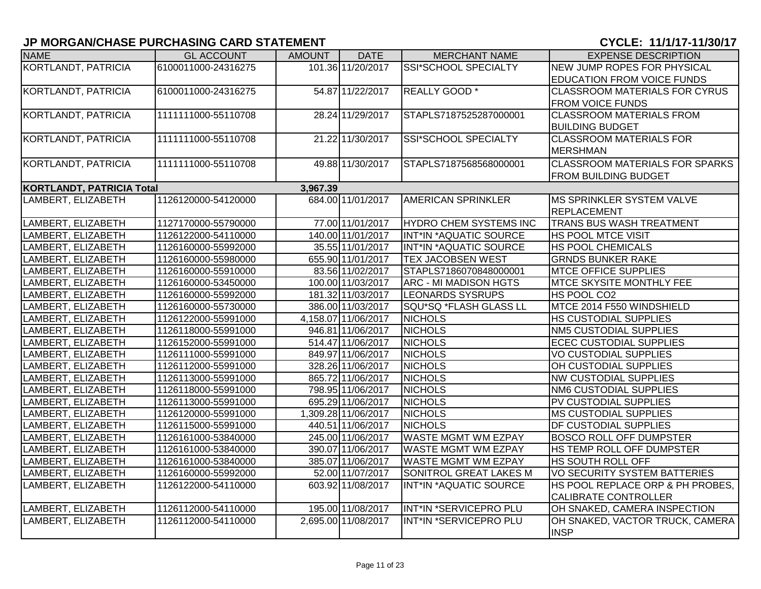| <b>NAME</b>                      | <b>GL ACCOUNT</b>   | <b>AMOUNT</b> | <b>DATE</b>         | <b>MERCHANT NAME</b>          | <b>EXPENSE DESCRIPTION</b>                     |
|----------------------------------|---------------------|---------------|---------------------|-------------------------------|------------------------------------------------|
| KORTLANDT, PATRICIA              | 6100011000-24316275 |               | 101.36 11/20/2017   | SSI*SCHOOL SPECIALTY          | <b>NEW JUMP ROPES FOR PHYSICAL</b>             |
|                                  |                     |               |                     |                               | <b>EDUCATION FROM VOICE FUNDS</b>              |
| KORTLANDT, PATRICIA              | 6100011000-24316275 |               | 54.87 11/22/2017    | REALLY GOOD *                 | <b>CLASSROOM MATERIALS FOR CYRUS</b>           |
|                                  |                     |               |                     |                               | <b>FROM VOICE FUNDS</b>                        |
| KORTLANDT, PATRICIA              | 1111111000-55110708 |               | 28.24 11/29/2017    | STAPLS7187525287000001        | <b>CLASSROOM MATERIALS FROM</b>                |
|                                  |                     |               |                     |                               | <b>BUILDING BUDGET</b>                         |
| KORTLANDT, PATRICIA              | 1111111000-55110708 |               | 21.22 11/30/2017    | SSI*SCHOOL SPECIALTY          | <b>CLASSROOM MATERIALS FOR</b>                 |
|                                  |                     |               |                     |                               | <b>MERSHMAN</b>                                |
| KORTLANDT, PATRICIA              | 1111111000-55110708 |               | 49.88 11/30/2017    | STAPLS7187568568000001        | <b>CLASSROOM MATERIALS FOR SPARKS</b>          |
|                                  |                     |               |                     |                               | <b>FROM BUILDING BUDGET</b>                    |
| <b>KORTLANDT, PATRICIA Total</b> |                     | 3,967.39      |                     |                               |                                                |
| LAMBERT, ELIZABETH               | 1126120000-54120000 |               | 684.00 11/01/2017   | <b>AMERICAN SPRINKLER</b>     | <b>IMS SPRINKLER SYSTEM VALVE</b>              |
|                                  |                     |               |                     |                               | <b>REPLACEMENT</b>                             |
| LAMBERT, ELIZABETH               | 1127170000-55790000 |               | 77.00 11/01/2017    | <b>HYDRO CHEM SYSTEMS INC</b> | <b>TRANS BUS WASH TREATMENT</b>                |
| LAMBERT, ELIZABETH               | 1126122000-54110000 |               | 140.00 11/01/2017   | INT*IN *AQUATIC SOURCE        | <b>HS POOL MTCE VISIT</b>                      |
| LAMBERT, ELIZABETH               | 1126160000-55992000 |               | 35.55 11/01/2017    | INT*IN *AQUATIC SOURCE        | <b>HS POOL CHEMICALS</b>                       |
| LAMBERT, ELIZABETH               | 1126160000-55980000 |               | 655.90 11/01/2017   | <b>TEX JACOBSEN WEST</b>      | <b>GRNDS BUNKER RAKE</b>                       |
| LAMBERT, ELIZABETH               | 1126160000-55910000 |               | 83.56 11/02/2017    | STAPLS7186070848000001        | <b>MTCE OFFICE SUPPLIES</b>                    |
| LAMBERT, ELIZABETH               | 1126160000-53450000 |               | 100.00 11/03/2017   | <b>ARC - MI MADISON HGTS</b>  | <b>MTCE SKYSITE MONTHLY FEE</b>                |
| LAMBERT, ELIZABETH               | 1126160000-55992000 |               | 181.32 11/03/2017   | <b>LEONARDS SYSRUPS</b>       | HS POOL CO <sub>2</sub>                        |
| LAMBERT, ELIZABETH               | 1126160000-55730000 |               | 386.00 11/03/2017   | SQU*SQ *FLASH GLASS LL        | MTCE 2014 F550 WINDSHIELD                      |
| LAMBERT, ELIZABETH               | 1126122000-55991000 |               | 4,158.07 11/06/2017 | <b>NICHOLS</b>                | <b>HS CUSTODIAL SUPPLIES</b>                   |
| LAMBERT, ELIZABETH               | 1126118000-55991000 |               | 946.81 11/06/2017   | <b>NICHOLS</b>                | <b>NM5 CUSTODIAL SUPPLIES</b>                  |
| LAMBERT, ELIZABETH               | 1126152000-55991000 |               | 514.47 11/06/2017   | <b>NICHOLS</b>                | <b>ECEC CUSTODIAL SUPPLIES</b>                 |
| LAMBERT, ELIZABETH               | 1126111000-55991000 |               | 849.97 11/06/2017   | <b>NICHOLS</b>                | <b>VO CUSTODIAL SUPPLIES</b>                   |
| LAMBERT, ELIZABETH               | 1126112000-55991000 |               | 328.26 11/06/2017   | <b>NICHOLS</b>                | OH CUSTODIAL SUPPLIES                          |
| LAMBERT, ELIZABETH               | 1126113000-55991000 |               | 865.72 11/06/2017   | <b>NICHOLS</b>                | <b>NW CUSTODIAL SUPPLIES</b>                   |
| LAMBERT, ELIZABETH               | 1126118000-55991000 |               | 798.95 11/06/2017   | <b>NICHOLS</b>                | <b>NM6 CUSTODIAL SUPPLIES</b>                  |
| LAMBERT, ELIZABETH               | 1126113000-55991000 |               | 695.29 11/06/2017   | <b>NICHOLS</b>                | PV CUSTODIAL SUPPLIES                          |
| LAMBERT, ELIZABETH               | 1126120000-55991000 |               | 1,309.28 11/06/2017 | <b>NICHOLS</b>                | <b>MS CUSTODIAL SUPPLIES</b>                   |
| LAMBERT, ELIZABETH               | 1126115000-55991000 |               | 440.51 11/06/2017   | <b>NICHOLS</b>                | <b>DF CUSTODIAL SUPPLIES</b>                   |
| LAMBERT, ELIZABETH               | 1126161000-53840000 |               | 245.00 11/06/2017   | <b>WASTE MGMT WM EZPAY</b>    | <b>BOSCO ROLL OFF DUMPSTER</b>                 |
| LAMBERT, ELIZABETH               | 1126161000-53840000 |               | 390.07 11/06/2017   | <b>WASTE MGMT WM EZPAY</b>    | HS TEMP ROLL OFF DUMPSTER                      |
| LAMBERT, ELIZABETH               | 1126161000-53840000 |               | 385.07 11/06/2017   | <b>WASTE MGMT WM EZPAY</b>    | HS SOUTH ROLL OFF                              |
| LAMBERT, ELIZABETH               | 1126160000-55992000 |               | 52.00 11/07/2017    | SONITROL GREAT LAKES M        | <b>VO SECURITY SYSTEM BATTERIES</b>            |
| LAMBERT, ELIZABETH               | 1126122000-54110000 |               | 603.92 11/08/2017   | INT*IN *AQUATIC SOURCE        | HS POOL REPLACE ORP & PH PROBES,               |
|                                  |                     |               |                     |                               | CALIBRATE CONTROLLER                           |
| LAMBERT, ELIZABETH               | 1126112000-54110000 |               | 195.00 11/08/2017   | INT*IN *SERVICEPRO PLU        | OH SNAKED, CAMERA INSPECTION                   |
| LAMBERT, ELIZABETH               | 1126112000-54110000 |               | 2,695.00 11/08/2017 | INT*IN *SERVICEPRO PLU        | OH SNAKED, VACTOR TRUCK, CAMERA<br><b>INSP</b> |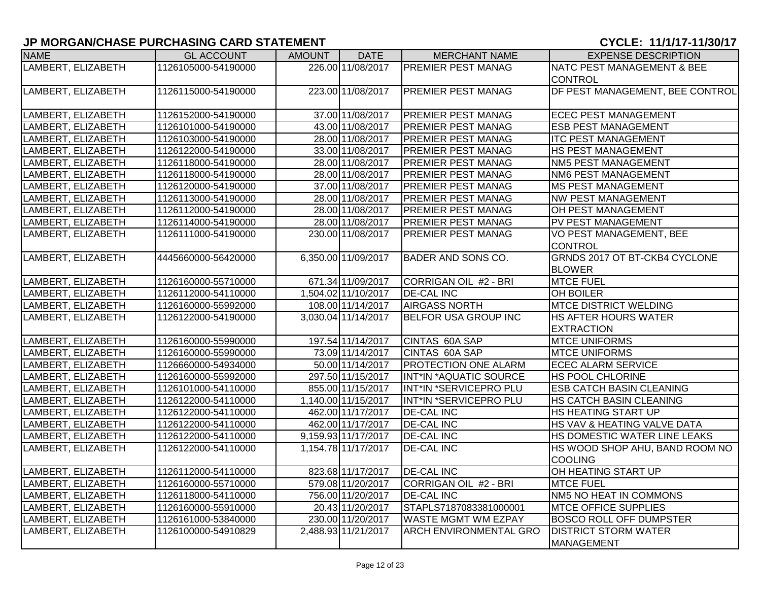| <b>NAME</b>        | <b>GL ACCOUNT</b>   | AMOUNT | <b>DATE</b>         | <b>MERCHANT NAME</b>          | <b>EXPENSE DESCRIPTION</b>      |
|--------------------|---------------------|--------|---------------------|-------------------------------|---------------------------------|
| LAMBERT, ELIZABETH | 1126105000-54190000 |        | 226.00 11/08/2017   | <b>PREMIER PEST MANAG</b>     | NATC PEST MANAGEMENT & BEE      |
|                    |                     |        |                     |                               | CONTROL                         |
| LAMBERT, ELIZABETH | 1126115000-54190000 |        | 223.00 11/08/2017   | PREMIER PEST MANAG            | DF PEST MANAGEMENT, BEE CONTROL |
|                    |                     |        |                     |                               |                                 |
| LAMBERT, ELIZABETH | 1126152000-54190000 |        | 37.00 11/08/2017    | <b>PREMIER PEST MANAG</b>     | <b>ECEC PEST MANAGEMENT</b>     |
| LAMBERT, ELIZABETH | 1126101000-54190000 |        | 43.00 11/08/2017    | <b>PREMIER PEST MANAG</b>     | <b>ESB PEST MANAGEMENT</b>      |
| LAMBERT, ELIZABETH | 1126103000-54190000 |        | 28.00 11/08/2017    | <b>PREMIER PEST MANAG</b>     | <b>ITC PEST MANAGEMENT</b>      |
| LAMBERT, ELIZABETH | 1126122000-54190000 |        | 33.00 11/08/2017    | <b>PREMIER PEST MANAG</b>     | HS PEST MANAGEMENT              |
| LAMBERT, ELIZABETH | 1126118000-54190000 |        | 28.00 11/08/2017    | <b>PREMIER PEST MANAG</b>     | NM5 PEST MANAGEMENT             |
| LAMBERT, ELIZABETH | 1126118000-54190000 |        | 28.00 11/08/2017    | <b>PREMIER PEST MANAG</b>     | NM6 PEST MANAGEMENT             |
| LAMBERT, ELIZABETH | 1126120000-54190000 |        | 37.00 11/08/2017    | <b>PREMIER PEST MANAG</b>     | <b>MS PEST MANAGEMENT</b>       |
| LAMBERT, ELIZABETH | 1126113000-54190000 |        | 28.00 11/08/2017    | <b>PREMIER PEST MANAG</b>     | <b>NW PEST MANAGEMENT</b>       |
| LAMBERT, ELIZABETH | 1126112000-54190000 |        | 28.00 11/08/2017    | <b>PREMIER PEST MANAG</b>     | OH PEST MANAGEMENT              |
| LAMBERT, ELIZABETH | 1126114000-54190000 |        | 28.00 11/08/2017    | <b>PREMIER PEST MANAG</b>     | PV PEST MANAGEMENT              |
| LAMBERT, ELIZABETH | 1126111000-54190000 |        | 230.00 11/08/2017   | <b>PREMIER PEST MANAG</b>     | <b>VO PEST MANAGEMENT, BEE</b>  |
|                    |                     |        |                     |                               | <b>CONTROL</b>                  |
| LAMBERT, ELIZABETH | 4445660000-56420000 |        | 6,350.00 11/09/2017 | <b>BADER AND SONS CO.</b>     | GRNDS 2017 OT BT-CKB4 CYCLONE   |
|                    |                     |        |                     |                               | <b>BLOWER</b>                   |
| LAMBERT, ELIZABETH | 1126160000-55710000 |        | 671.34 11/09/2017   | CORRIGAN OIL #2 - BRI         | <b>MTCE FUEL</b>                |
| LAMBERT, ELIZABETH | 1126112000-54110000 |        | 1,504.02 11/10/2017 | <b>DE-CAL INC</b>             | <b>OH BOILER</b>                |
| LAMBERT, ELIZABETH | 1126160000-55992000 |        | 108.00 11/14/2017   | <b>AIRGASS NORTH</b>          | <b>MTCE DISTRICT WELDING</b>    |
| LAMBERT, ELIZABETH | 1126122000-54190000 |        | 3,030.04 11/14/2017 | <b>BELFOR USA GROUP INC</b>   | <b>HS AFTER HOURS WATER</b>     |
|                    |                     |        |                     |                               | <b>EXTRACTION</b>               |
| LAMBERT, ELIZABETH | 1126160000-55990000 |        | 197.54 11/14/2017   | CINTAS 60A SAP                | <b>MTCE UNIFORMS</b>            |
| LAMBERT, ELIZABETH | 1126160000-55990000 |        | 73.09 11/14/2017    | CINTAS 60A SAP                | <b>MTCE UNIFORMS</b>            |
| LAMBERT, ELIZABETH | 1126660000-54934000 |        | 50.00 11/14/2017    | PROTECTION ONE ALARM          | <b>ECEC ALARM SERVICE</b>       |
| LAMBERT, ELIZABETH | 1126160000-55992000 |        | 297.50 11/15/2017   | INT*IN *AQUATIC SOURCE        | <b>HS POOL CHLORINE</b>         |
| LAMBERT, ELIZABETH | 1126101000-54110000 |        | 855.00 11/15/2017   | INT*IN *SERVICEPRO PLU        | <b>ESB CATCH BASIN CLEANING</b> |
| LAMBERT, ELIZABETH | 1126122000-54110000 |        | 1,140.00 11/15/2017 | <b>INT*IN *SERVICEPRO PLU</b> | HS CATCH BASIN CLEANING         |
| LAMBERT, ELIZABETH | 1126122000-54110000 |        | 462.00 11/17/2017   | <b>DE-CAL INC</b>             | HS HEATING START UP             |
| LAMBERT, ELIZABETH | 1126122000-54110000 |        | 462.00 11/17/2017   | <b>DE-CAL INC</b>             | HS VAV & HEATING VALVE DATA     |
| LAMBERT, ELIZABETH | 1126122000-54110000 |        | 9,159.93 11/17/2017 | <b>DE-CAL INC</b>             | HS DOMESTIC WATER LINE LEAKS    |
| LAMBERT, ELIZABETH | 1126122000-54110000 |        | 1,154.78 11/17/2017 | <b>DE-CAL INC</b>             | HS WOOD SHOP AHU, BAND ROOM NO  |
|                    |                     |        |                     |                               | <b>COOLING</b>                  |
| LAMBERT, ELIZABETH | 1126112000-54110000 |        | 823.68 11/17/2017   | <b>DE-CAL INC</b>             | OH HEATING START UP             |
| LAMBERT, ELIZABETH | 1126160000-55710000 |        | 579.08 11/20/2017   | CORRIGAN OIL #2 - BRI         | <b>MTCE FUEL</b>                |
| LAMBERT, ELIZABETH | 1126118000-54110000 |        | 756.00 11/20/2017   | <b>DE-CAL INC</b>             | NM5 NO HEAT IN COMMONS          |
| LAMBERT, ELIZABETH | 1126160000-55910000 |        | 20.43 11/20/2017    | STAPLS7187083381000001        | <b>MTCE OFFICE SUPPLIES</b>     |
| LAMBERT, ELIZABETH | 1126161000-53840000 |        | 230.00 11/20/2017   | <b>WASTE MGMT WM EZPAY</b>    | <b>BOSCO ROLL OFF DUMPSTER</b>  |
| LAMBERT, ELIZABETH | 1126100000-54910829 |        | 2,488.93 11/21/2017 | <b>ARCH ENVIRONMENTAL GRO</b> | <b>DISTRICT STORM WATER</b>     |
|                    |                     |        |                     |                               | <b>MANAGEMENT</b>               |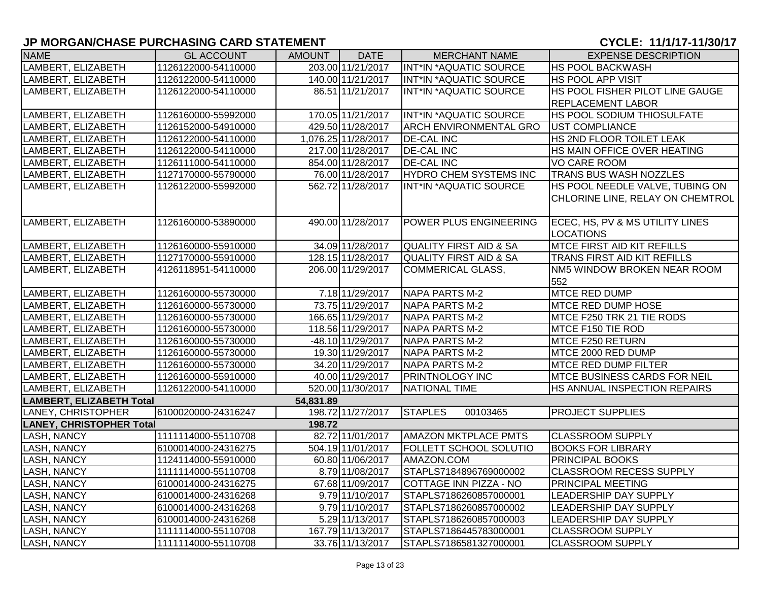| <b>NAME</b>                     | <b>GL ACCOUNT</b>   | AMOUNT    | <b>DATE</b>                 | <b>MERCHANT NAME</b>              | <b>EXPENSE DESCRIPTION</b>         |
|---------------------------------|---------------------|-----------|-----------------------------|-----------------------------------|------------------------------------|
| LAMBERT, ELIZABETH              | 1126122000-54110000 |           | 203.00 11/21/2017           | <b>INT*IN *AQUATIC SOURCE</b>     | <b>HS POOL BACKWASH</b>            |
| LAMBERT, ELIZABETH              | 1126122000-54110000 |           | 140.00 11/21/2017           | INT*IN *AQUATIC SOURCE            | <b>HS POOL APP VISIT</b>           |
| LAMBERT, ELIZABETH              | 1126122000-54110000 |           | 86.51 11/21/2017            | INT*IN *AQUATIC SOURCE            | HS POOL FISHER PILOT LINE GAUGE    |
|                                 |                     |           |                             |                                   | REPLACEMENT LABOR                  |
| LAMBERT, ELIZABETH              | 1126160000-55992000 |           | 170.05 11/21/2017           | INT*IN *AQUATIC SOURCE            | HS POOL SODIUM THIOSULFATE         |
| LAMBERT, ELIZABETH              | 1126152000-54910000 |           | 429.50 11/28/2017           | <b>ARCH ENVIRONMENTAL GRO</b>     | <b>UST COMPLIANCE</b>              |
| LAMBERT, ELIZABETH              | 1126122000-54110000 |           | 1,076.25 11/28/2017         | <b>DE-CAL INC</b>                 | HS 2ND FLOOR TOILET LEAK           |
| LAMBERT, ELIZABETH              | 1126122000-54110000 |           | 217.00 11/28/2017           | <b>DE-CAL INC</b>                 | HS MAIN OFFICE OVER HEATING        |
| LAMBERT, ELIZABETH              | 1126111000-54110000 |           | 854.00 11/28/2017           | <b>DE-CAL INC</b>                 | <b>VO CARE ROOM</b>                |
| LAMBERT, ELIZABETH              | 1127170000-55790000 |           | 76.00 11/28/2017            | HYDRO CHEM SYSTEMS INC            | <b>TRANS BUS WASH NOZZLES</b>      |
| LAMBERT, ELIZABETH              | 1126122000-55992000 |           | 562.72 11/28/2017           | INT*IN *AQUATIC SOURCE            | HS POOL NEEDLE VALVE, TUBING ON    |
|                                 |                     |           |                             |                                   | CHLORINE LINE, RELAY ON CHEMTROL   |
| LAMBERT, ELIZABETH              | 1126160000-53890000 |           | 490.00 11/28/2017           | <b>POWER PLUS ENGINEERING</b>     | ECEC, HS, PV & MS UTILITY LINES    |
|                                 |                     |           |                             |                                   | <b>LOCATIONS</b>                   |
| LAMBERT, ELIZABETH              | 1126160000-55910000 |           | 34.09 11/28/2017            | <b>QUALITY FIRST AID &amp; SA</b> | <b>MTCE FIRST AID KIT REFILLS</b>  |
| LAMBERT, ELIZABETH              | 1127170000-55910000 |           | 128.15 11/28/2017           | QUALITY FIRST AID & SA            | TRANS FIRST AID KIT REFILLS        |
| LAMBERT, ELIZABETH              | 4126118951-54110000 |           | 206.00 11/29/2017           | <b>COMMERICAL GLASS,</b>          | NM5 WINDOW BROKEN NEAR ROOM<br>552 |
| LAMBERT, ELIZABETH              | 1126160000-55730000 |           | 7.18 11/29/2017             | <b>NAPA PARTS M-2</b>             | <b>MTCE RED DUMP</b>               |
| LAMBERT, ELIZABETH              | 1126160000-55730000 |           | 73.75 11/29/2017            | <b>NAPA PARTS M-2</b>             | <b>MTCE RED DUMP HOSE</b>          |
| LAMBERT, ELIZABETH              | 1126160000-55730000 |           | 166.65 11/29/2017           | NAPA PARTS M-2                    | MTCE F250 TRK 21 TIE RODS          |
| LAMBERT, ELIZABETH              | 1126160000-55730000 |           | 118.56 11/29/2017           | NAPA PARTS M-2                    | MTCE F150 TIE ROD                  |
| LAMBERT, ELIZABETH              | 1126160000-55730000 |           | -48.10 11/29/2017           | NAPA PARTS M-2                    | MTCE F250 RETURN                   |
| LAMBERT, ELIZABETH              | 1126160000-55730000 |           | 19.30 11/29/2017            | NAPA PARTS M-2                    | MTCE 2000 RED DUMP                 |
| LAMBERT, ELIZABETH              | 1126160000-55730000 |           | 34.20 11/29/2017            | NAPA PARTS M-2                    | <b>MTCE RED DUMP FILTER</b>        |
| LAMBERT, ELIZABETH              | 1126160000-55910000 |           | 40.00 11/29/2017            | <b>PRINTNOLOGY INC</b>            | MTCE BUSINESS CARDS FOR NEIL       |
| LAMBERT, ELIZABETH              | 1126122000-54110000 |           | 520.00 11/30/2017           | NATIONAL TIME                     | HS ANNUAL INSPECTION REPAIRS       |
| LAMBERT, ELIZABETH Total        |                     | 54,831.89 |                             |                                   |                                    |
| LANEY, CHRISTOPHER              | 6100020000-24316247 |           | 198.72 11/27/2017           | <b>STAPLES</b><br>00103465        | <b>PROJECT SUPPLIES</b>            |
| <b>LANEY, CHRISTOPHER Total</b> |                     | 198.72    |                             |                                   |                                    |
| <b>LASH, NANCY</b>              | 1111114000-55110708 |           | 82.72 11/01/2017            | <b>AMAZON MKTPLACE PMTS</b>       | <b>CLASSROOM SUPPLY</b>            |
| <b>LASH, NANCY</b>              | 6100014000-24316275 |           | 504.19 11/01/2017           | <b>FOLLETT SCHOOL SOLUTIO</b>     | <b>BOOKS FOR LIBRARY</b>           |
| <b>LASH, NANCY</b>              | 1124114000-55910000 |           | 60.80 11/06/2017            | AMAZON.COM                        | <b>PRINCIPAL BOOKS</b>             |
| <b>LASH, NANCY</b>              | 1111114000-55110708 |           | 8.79 11/08/2017             | STAPLS7184896769000002            | <b>CLASSROOM RECESS SUPPLY</b>     |
| <b>LASH, NANCY</b>              | 6100014000-24316275 |           | 67.68 11/09/2017            | COTTAGE INN PIZZA - NO            | PRINCIPAL MEETING                  |
| <b>LASH, NANCY</b>              | 6100014000-24316268 |           | $\overline{9.7911/10/2017}$ | STAPLS7186260857000001            | <b>LEADERSHIP DAY SUPPLY</b>       |
| <b>LASH, NANCY</b>              | 6100014000-24316268 |           | 9.79 11/10/2017             | STAPLS7186260857000002            | LEADERSHIP DAY SUPPLY              |
| <b>LASH, NANCY</b>              | 6100014000-24316268 |           | 5.29 11/13/2017             | STAPLS7186260857000003            | <b>LEADERSHIP DAY SUPPLY</b>       |
| LASH, NANCY                     | 1111114000-55110708 |           | 167.79 11/13/2017           | STAPLS7186445783000001            | <b>CLASSROOM SUPPLY</b>            |
| <b>LASH, NANCY</b>              | 1111114000-55110708 |           | 33.76 11/13/2017            | STAPLS7186581327000001            | <b>CLASSROOM SUPPLY</b>            |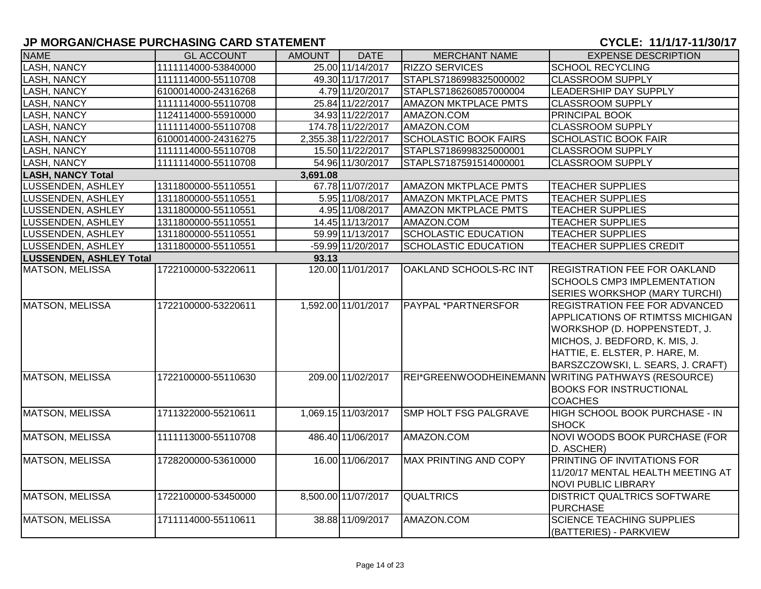| <b>NAME</b>                    | <b>GL ACCOUNT</b>   | <b>AMOUNT</b> | <b>DATE</b>         | <b>MERCHANT NAME</b>          | <b>EXPENSE DESCRIPTION</b>                                                                                                                                                                                               |  |  |  |  |  |
|--------------------------------|---------------------|---------------|---------------------|-------------------------------|--------------------------------------------------------------------------------------------------------------------------------------------------------------------------------------------------------------------------|--|--|--|--|--|
| LASH, NANCY                    | 1111114000-53840000 |               | 25.00 11/14/2017    | <b>RIZZO SERVICES</b>         | <b>SCHOOL RECYCLING</b>                                                                                                                                                                                                  |  |  |  |  |  |
| LASH, NANCY                    | 1111114000-55110708 |               | 49.30 11/17/2017    | STAPLS7186998325000002        | <b>CLASSROOM SUPPLY</b>                                                                                                                                                                                                  |  |  |  |  |  |
| LASH, NANCY                    | 6100014000-24316268 |               | 4.79 11/20/2017     | STAPLS7186260857000004        | LEADERSHIP DAY SUPPLY                                                                                                                                                                                                    |  |  |  |  |  |
| LASH, NANCY                    | 1111114000-55110708 |               | 25.84 11/22/2017    | <b>AMAZON MKTPLACE PMTS</b>   | <b>CLASSROOM SUPPLY</b>                                                                                                                                                                                                  |  |  |  |  |  |
| <b>LASH, NANCY</b>             | 1124114000-55910000 |               | 34.93 11/22/2017    | AMAZON.COM                    | <b>PRINCIPAL BOOK</b>                                                                                                                                                                                                    |  |  |  |  |  |
| <b>LASH, NANCY</b>             | 1111114000-55110708 |               | 174.78 11/22/2017   | AMAZON.COM                    | <b>CLASSROOM SUPPLY</b>                                                                                                                                                                                                  |  |  |  |  |  |
| LASH, NANCY                    | 6100014000-24316275 |               | 2,355.38 11/22/2017 | <b>SCHOLASTIC BOOK FAIRS</b>  | <b>SCHOLASTIC BOOK FAIR</b>                                                                                                                                                                                              |  |  |  |  |  |
| <b>LASH, NANCY</b>             | 1111114000-55110708 |               | 15.50 11/22/2017    | STAPLS7186998325000001        | <b>CLASSROOM SUPPLY</b>                                                                                                                                                                                                  |  |  |  |  |  |
| LASH, NANCY                    | 1111114000-55110708 |               | 54.96 11/30/2017    | STAPLS7187591514000001        | <b>CLASSROOM SUPPLY</b>                                                                                                                                                                                                  |  |  |  |  |  |
| <b>LASH, NANCY Total</b>       | 3,691.08            |               |                     |                               |                                                                                                                                                                                                                          |  |  |  |  |  |
| LUSSENDEN, ASHLEY              | 1311800000-55110551 |               | 67.78 11/07/2017    | <b>AMAZON MKTPLACE PMTS</b>   | <b>TEACHER SUPPLIES</b>                                                                                                                                                                                                  |  |  |  |  |  |
| <b>LUSSENDEN, ASHLEY</b>       | 1311800000-55110551 |               | 5.95 11/08/2017     | <b>AMAZON MKTPLACE PMTS</b>   | <b>TEACHER SUPPLIES</b>                                                                                                                                                                                                  |  |  |  |  |  |
| <b>LUSSENDEN, ASHLEY</b>       | 1311800000-55110551 |               | 4.95 11/08/2017     | <b>AMAZON MKTPLACE PMTS</b>   | <b>TEACHER SUPPLIES</b>                                                                                                                                                                                                  |  |  |  |  |  |
| LUSSENDEN, ASHLEY              | 1311800000-55110551 |               | 14.45 11/13/2017    | AMAZON.COM                    | <b>TEACHER SUPPLIES</b>                                                                                                                                                                                                  |  |  |  |  |  |
| LUSSENDEN, ASHLEY              | 1311800000-55110551 |               | 59.99 11/13/2017    | <b>SCHOLASTIC EDUCATION</b>   | <b>TEACHER SUPPLIES</b>                                                                                                                                                                                                  |  |  |  |  |  |
| LUSSENDEN, ASHLEY              | 1311800000-55110551 |               | -59.99 11/20/2017   | <b>SCHOLASTIC EDUCATION</b>   | <b>TEACHER SUPPLIES CREDIT</b>                                                                                                                                                                                           |  |  |  |  |  |
| <b>LUSSENDEN, ASHLEY Total</b> |                     | 93.13         |                     |                               |                                                                                                                                                                                                                          |  |  |  |  |  |
| MATSON, MELISSA                | 1722100000-53220611 |               | 120.00 11/01/2017   | <b>OAKLAND SCHOOLS-RC INT</b> | <b>REGISTRATION FEE FOR OAKLAND</b><br><b>SCHOOLS CMP3 IMPLEMENTATION</b><br><b>SERIES WORKSHOP (MARY TURCHI)</b>                                                                                                        |  |  |  |  |  |
| <b>MATSON, MELISSA</b>         | 1722100000-53220611 |               | 1,592.00 11/01/2017 | <b>PAYPAL *PARTNERSFOR</b>    | <b>REGISTRATION FEE FOR ADVANCED</b><br><b>APPLICATIONS OF RTIMTSS MICHIGAN</b><br>WORKSHOP (D. HOPPENSTEDT, J.<br>MICHOS, J. BEDFORD, K. MIS, J.<br>HATTIE, E. ELSTER, P. HARE, M.<br>BARSZCZOWSKI, L. SEARS, J. CRAFT) |  |  |  |  |  |
| <b>MATSON, MELISSA</b>         | 1722100000-55110630 |               | 209.00 11/02/2017   |                               | REI*GREENWOODHEINEMANN WRITING PATHWAYS (RESOURCE)<br><b>BOOKS FOR INSTRUCTIONAL</b><br><b>COACHES</b>                                                                                                                   |  |  |  |  |  |
| <b>MATSON, MELISSA</b>         | 1711322000-55210611 |               | 1,069.15 11/03/2017 | <b>SMP HOLT FSG PALGRAVE</b>  | HIGH SCHOOL BOOK PURCHASE - IN<br><b>SHOCK</b>                                                                                                                                                                           |  |  |  |  |  |
| <b>MATSON, MELISSA</b>         | 1111113000-55110708 |               | 486.40 11/06/2017   | AMAZON.COM                    | NOVI WOODS BOOK PURCHASE (FOR<br>D. ASCHER)                                                                                                                                                                              |  |  |  |  |  |
| MATSON, MELISSA                | 1728200000-53610000 |               | 16.00 11/06/2017    | MAX PRINTING AND COPY         | <b>PRINTING OF INVITATIONS FOR</b><br>11/20/17 MENTAL HEALTH MEETING AT<br><b>NOVI PUBLIC LIBRARY</b>                                                                                                                    |  |  |  |  |  |
| <b>MATSON, MELISSA</b>         | 1722100000-53450000 |               | 8,500.00 11/07/2017 | <b>QUALTRICS</b>              | <b>DISTRICT QUALTRICS SOFTWARE</b><br>PURCHASE                                                                                                                                                                           |  |  |  |  |  |
| MATSON, MELISSA                | 1711114000-55110611 |               | 38.88 11/09/2017    | AMAZON.COM                    | <b>SCIENCE TEACHING SUPPLIES</b><br>(BATTERIES) - PARKVIEW                                                                                                                                                               |  |  |  |  |  |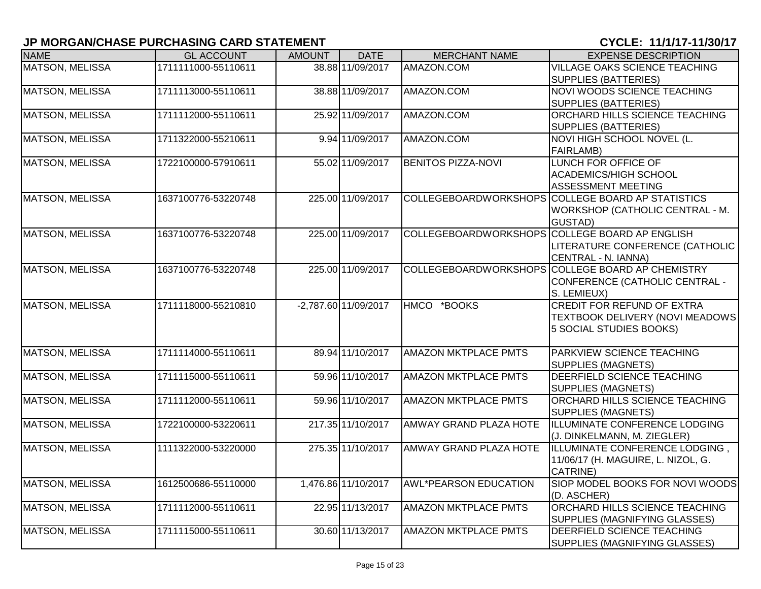| <b>NAME</b>            | <b>GL ACCOUNT</b>   | <b>AMOUNT</b> | <b>DATE</b>          | <b>MERCHANT NAME</b>          | <b>EXPENSE DESCRIPTION</b>                                  |
|------------------------|---------------------|---------------|----------------------|-------------------------------|-------------------------------------------------------------|
| <b>MATSON, MELISSA</b> | 1711111000-55110611 |               | 38.88 11/09/2017     | AMAZON.COM                    | VILLAGE OAKS SCIENCE TEACHING                               |
|                        |                     |               |                      |                               | <b>SUPPLIES (BATTERIES)</b>                                 |
| <b>MATSON, MELISSA</b> | 1711113000-55110611 |               | 38.88 11/09/2017     | AMAZON.COM                    | NOVI WOODS SCIENCE TEACHING                                 |
|                        |                     |               |                      |                               | <b>SUPPLIES (BATTERIES)</b>                                 |
| <b>MATSON, MELISSA</b> | 1711112000-55110611 |               | 25.92 11/09/2017     | AMAZON.COM                    | ORCHARD HILLS SCIENCE TEACHING                              |
|                        |                     |               |                      |                               | <b>SUPPLIES (BATTERIES)</b>                                 |
| <b>MATSON, MELISSA</b> | 1711322000-55210611 |               | 9.94 11/09/2017      | AMAZON.COM                    | NOVI HIGH SCHOOL NOVEL (L.                                  |
|                        |                     |               |                      |                               | <b>FAIRLAMB)</b>                                            |
| <b>MATSON, MELISSA</b> | 1722100000-57910611 |               | 55.02 11/09/2017     | <b>BENITOS PIZZA-NOVI</b>     | <b>LUNCH FOR OFFICE OF</b>                                  |
|                        |                     |               |                      |                               | ACADEMICS/HIGH SCHOOL                                       |
|                        |                     |               |                      |                               | <b>ASSESSMENT MEETING</b>                                   |
| <b>MATSON, MELISSA</b> | 1637100776-53220748 |               | 225.00 11/09/2017    |                               | COLLEGEBOARDWORKSHOPS COLLEGE BOARD AP STATISTICS           |
|                        |                     |               |                      |                               | WORKSHOP (CATHOLIC CENTRAL - M.                             |
|                        |                     |               |                      |                               | <b>GUSTAD)</b>                                              |
| <b>MATSON, MELISSA</b> | 1637100776-53220748 |               | 225.00 11/09/2017    |                               | COLLEGEBOARDWORKSHOPS COLLEGE BOARD AP ENGLISH              |
|                        |                     |               |                      |                               | LITERATURE CONFERENCE (CATHOLIC                             |
|                        |                     |               |                      |                               | CENTRAL - N. IANNA)                                         |
| <b>MATSON, MELISSA</b> | 1637100776-53220748 |               | 225.00 11/09/2017    |                               | COLLEGEBOARDWORKSHOPS COLLEGE BOARD AP CHEMISTRY            |
|                        |                     |               |                      |                               | CONFERENCE (CATHOLIC CENTRAL -                              |
|                        |                     |               |                      |                               | S. LEMIEUX)                                                 |
| <b>MATSON, MELISSA</b> | 1711118000-55210810 |               | -2,787.60 11/09/2017 | HMCO *BOOKS                   | <b>CREDIT FOR REFUND OF EXTRA</b>                           |
|                        |                     |               |                      |                               | TEXTBOOK DELIVERY (NOVI MEADOWS                             |
|                        |                     |               |                      |                               | 5 SOCIAL STUDIES BOOKS)                                     |
|                        |                     |               |                      |                               |                                                             |
| <b>MATSON, MELISSA</b> | 1711114000-55110611 |               | 89.94 11/10/2017     | <b>AMAZON MKTPLACE PMTS</b>   | PARKVIEW SCIENCE TEACHING                                   |
|                        |                     |               |                      |                               | <b>SUPPLIES (MAGNETS)</b>                                   |
| <b>MATSON, MELISSA</b> | 1711115000-55110611 |               | 59.96 11/10/2017     | <b>AMAZON MKTPLACE PMTS</b>   | DEERFIELD SCIENCE TEACHING                                  |
|                        |                     |               |                      |                               | <b>SUPPLIES (MAGNETS)</b>                                   |
| <b>MATSON, MELISSA</b> | 1711112000-55110611 |               | 59.96 11/10/2017     | <b>AMAZON MKTPLACE PMTS</b>   | ORCHARD HILLS SCIENCE TEACHING                              |
|                        |                     |               |                      |                               | <b>SUPPLIES (MAGNETS)</b>                                   |
| <b>MATSON, MELISSA</b> | 1722100000-53220611 |               | 217.35 11/10/2017    | <b>AMWAY GRAND PLAZA HOTE</b> | ILLUMINATE CONFERENCE LODGING                               |
|                        | 1111322000-53220000 |               | 275.35 11/10/2017    | <b>AMWAY GRAND PLAZA HOTE</b> | (J. DINKELMANN, M. ZIEGLER)                                 |
| <b>MATSON, MELISSA</b> |                     |               |                      |                               | ILLUMINATE CONFERENCE LODGING,                              |
|                        |                     |               |                      |                               | 11/06/17 (H. MAGUIRE, L. NIZOL, G.                          |
|                        |                     |               |                      |                               | CATRINE)<br>SIOP MODEL BOOKS FOR NOVI WOODS                 |
| <b>MATSON, MELISSA</b> | 1612500686-55110000 |               | 1,476.86 11/10/2017  | <b>AWL*PEARSON EDUCATION</b>  |                                                             |
| <b>MATSON, MELISSA</b> | 1711112000-55110611 |               | 22.95 11/13/2017     | <b>AMAZON MKTPLACE PMTS</b>   | (D. ASCHER)<br>ORCHARD HILLS SCIENCE TEACHING               |
|                        |                     |               |                      |                               |                                                             |
|                        | 1711115000-55110611 |               | 30.60 11/13/2017     | <b>AMAZON MKTPLACE PMTS</b>   | SUPPLIES (MAGNIFYING GLASSES)<br>DEERFIELD SCIENCE TEACHING |
| <b>MATSON, MELISSA</b> |                     |               |                      |                               |                                                             |
|                        |                     |               |                      |                               | SUPPLIES (MAGNIFYING GLASSES)                               |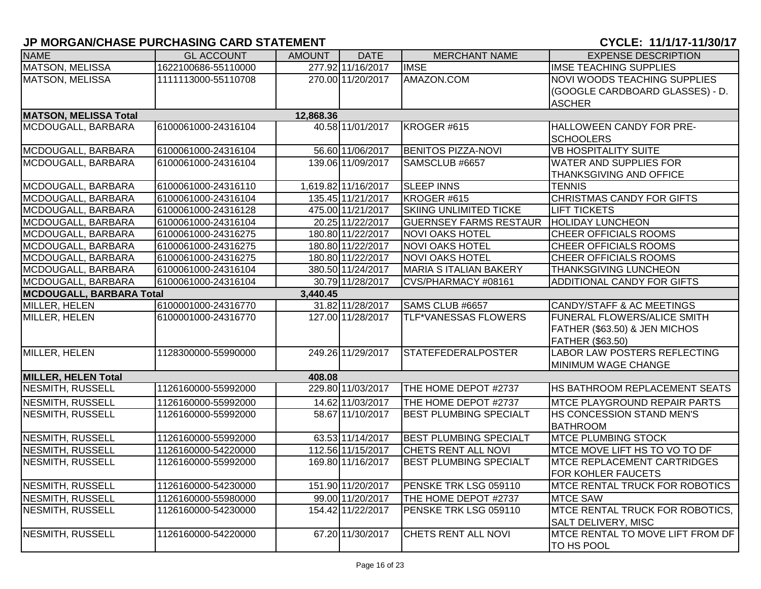| <b>NAME</b>                               | <b>GL ACCOUNT</b>                           | <b>AMOUNT</b> | <b>DATE</b>         | <b>MERCHANT NAME</b>          | <b>EXPENSE DESCRIPTION</b>            |  |  |  |
|-------------------------------------------|---------------------------------------------|---------------|---------------------|-------------------------------|---------------------------------------|--|--|--|
| <b>MATSON, MELISSA</b>                    | 1622100686-55110000                         |               | 277.92 11/16/2017   | <b>IMSE</b>                   | <b>IMSE TEACHING SUPPLIES</b>         |  |  |  |
| <b>MATSON, MELISSA</b>                    | 1111113000-55110708                         |               | 270.00 11/20/2017   | AMAZON.COM                    | <b>NOVI WOODS TEACHING SUPPLIES</b>   |  |  |  |
|                                           |                                             |               |                     |                               | (GOOGLE CARDBOARD GLASSES) - D.       |  |  |  |
|                                           |                                             |               |                     |                               | <b>ASCHER</b>                         |  |  |  |
| 12,868.36<br><b>MATSON, MELISSA Total</b> |                                             |               |                     |                               |                                       |  |  |  |
| MCDOUGALL, BARBARA                        | 6100061000-24316104                         |               | 40.58 11/01/2017    | KROGER #615                   | HALLOWEEN CANDY FOR PRE-              |  |  |  |
|                                           |                                             |               |                     |                               | <b>SCHOOLERS</b>                      |  |  |  |
| MCDOUGALL, BARBARA                        | 6100061000-24316104                         |               | 56.60 11/06/2017    | <b>BENITOS PIZZA-NOVI</b>     | <b>VB HOSPITALITY SUITE</b>           |  |  |  |
| MCDOUGALL, BARBARA                        | 6100061000-24316104                         |               | 139.06 11/09/2017   | SAMSCLUB #6657                | <b>WATER AND SUPPLIES FOR</b>         |  |  |  |
|                                           |                                             |               |                     |                               | <b>THANKSGIVING AND OFFICE</b>        |  |  |  |
| MCDOUGALL, BARBARA                        | 6100061000-24316110                         |               | 1,619.82 11/16/2017 | <b>SLEEP INNS</b>             | <b>TENNIS</b>                         |  |  |  |
| MCDOUGALL, BARBARA                        | 6100061000-24316104                         |               | 135.45 11/21/2017   | KROGER #615                   | CHRISTMAS CANDY FOR GIFTS             |  |  |  |
| MCDOUGALL, BARBARA                        | 6100061000-24316128                         |               | 475.00 11/21/2017   | <b>SKIING UNLIMITED TICKE</b> | <b>LIFT TICKETS</b>                   |  |  |  |
| MCDOUGALL, BARBARA                        | 6100061000-24316104                         |               | 20.25 11/22/2017    | <b>GUERNSEY FARMS RESTAUR</b> | <b>HOLIDAY LUNCHEON</b>               |  |  |  |
| MCDOUGALL, BARBARA                        | 6100061000-24316275                         |               | 180.80 11/22/2017   | <b>NOVI OAKS HOTEL</b>        | <b>CHEER OFFICIALS ROOMS</b>          |  |  |  |
| MCDOUGALL, BARBARA                        | 6100061000-24316275                         |               | 180.80 11/22/2017   | <b>NOVI OAKS HOTEL</b>        | <b>CHEER OFFICIALS ROOMS</b>          |  |  |  |
| MCDOUGALL, BARBARA                        | 6100061000-24316275                         |               | 180.80 11/22/2017   | <b>NOVI OAKS HOTEL</b>        | <b>CHEER OFFICIALS ROOMS</b>          |  |  |  |
| MCDOUGALL, BARBARA                        | 6100061000-24316104                         |               | 380.50 11/24/2017   | <b>MARIA S ITALIAN BAKERY</b> | <b>THANKSGIVING LUNCHEON</b>          |  |  |  |
| MCDOUGALL, BARBARA                        | 6100061000-24316104                         |               | 30.79 11/28/2017    | CVS/PHARMACY #08161           | ADDITIONAL CANDY FOR GIFTS            |  |  |  |
|                                           | <b>MCDOUGALL, BARBARA Total</b><br>3,440.45 |               |                     |                               |                                       |  |  |  |
| MILLER, HELEN                             | 6100001000-24316770                         |               | 31.82 11/28/2017    | SAMS CLUB #6657               | CANDY/STAFF & AC MEETINGS             |  |  |  |
| MILLER, HELEN                             | 6100001000-24316770                         |               | 127.00 11/28/2017   | <b>TLF*VANESSAS FLOWERS</b>   | FUNERAL FLOWERS/ALICE SMITH           |  |  |  |
|                                           |                                             |               |                     |                               | FATHER (\$63.50) & JEN MICHOS         |  |  |  |
|                                           |                                             |               |                     |                               | FATHER (\$63.50)                      |  |  |  |
| MILLER, HELEN                             | 1128300000-55990000                         |               | 249.26 11/29/2017   | <b>STATEFEDERALPOSTER</b>     | <b>LABOR LAW POSTERS REFLECTING</b>   |  |  |  |
|                                           |                                             |               |                     |                               | MINIMUM WAGE CHANGE                   |  |  |  |
| <b>MILLER, HELEN Total</b>                |                                             | 408.08        |                     |                               |                                       |  |  |  |
| NESMITH, RUSSELL                          | 1126160000-55992000                         |               | 229.80 11/03/2017   | THE HOME DEPOT #2737          | HS BATHROOM REPLACEMENT SEATS         |  |  |  |
| <b>NESMITH, RUSSELL</b>                   | 1126160000-55992000                         |               | 14.62 11/03/2017    | THE HOME DEPOT #2737          | <b>MTCE PLAYGROUND REPAIR PARTS</b>   |  |  |  |
| NESMITH, RUSSELL                          | 1126160000-55992000                         |               | 58.67 11/10/2017    | <b>BEST PLUMBING SPECIALT</b> | HS CONCESSION STAND MEN'S             |  |  |  |
|                                           |                                             |               |                     |                               | <b>BATHROOM</b>                       |  |  |  |
| NESMITH, RUSSELL                          | 1126160000-55992000                         |               | 63.53 11/14/2017    | <b>BEST PLUMBING SPECIALT</b> | <b>MTCE PLUMBING STOCK</b>            |  |  |  |
| <b>NESMITH, RUSSELL</b>                   | 1126160000-54220000                         |               | 112.56 11/15/2017   | CHETS RENT ALL NOVI           | MTCE MOVE LIFT HS TO VO TO DF         |  |  |  |
| <b>NESMITH, RUSSELL</b>                   | 1126160000-55992000                         |               | 169.80 11/16/2017   | <b>BEST PLUMBING SPECIALT</b> | <b>MTCE REPLACEMENT CARTRIDGES</b>    |  |  |  |
|                                           |                                             |               |                     |                               | FOR KOHLER FAUCETS                    |  |  |  |
| <b>NESMITH, RUSSELL</b>                   | 1126160000-54230000                         |               | 151.90 11/20/2017   | PENSKE TRK LSG 059110         | <b>MTCE RENTAL TRUCK FOR ROBOTICS</b> |  |  |  |
| <b>NESMITH, RUSSELL</b>                   | 1126160000-55980000                         |               | 99.00 11/20/2017    | THE HOME DEPOT #2737          | <b>MTCE SAW</b>                       |  |  |  |
| NESMITH, RUSSELL                          | 1126160000-54230000                         |               | 154.42 11/22/2017   | PENSKE TRK LSG 059110         | MTCE RENTAL TRUCK FOR ROBOTICS,       |  |  |  |
|                                           |                                             |               |                     |                               | <b>SALT DELIVERY, MISC</b>            |  |  |  |
| <b>NESMITH, RUSSELL</b>                   | 1126160000-54220000                         |               | 67.20 11/30/2017    | CHETS RENT ALL NOVI           | MTCE RENTAL TO MOVE LIFT FROM DF      |  |  |  |
|                                           |                                             |               |                     |                               | <b>TO HS POOL</b>                     |  |  |  |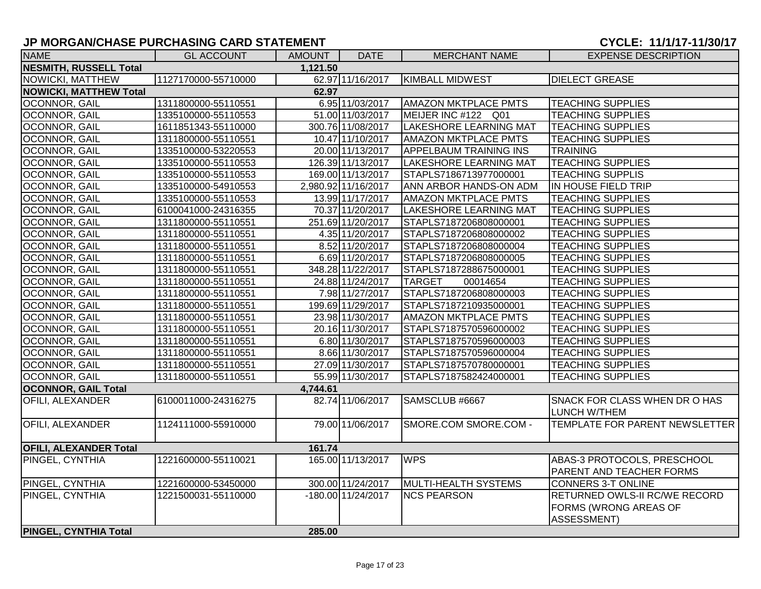| <b>NAME</b>                   | <b>GL ACCOUNT</b>   | <b>AMOUNT</b> | <b>DATE</b>          | <b>MERCHANT NAME</b>          | <b>EXPENSE DESCRIPTION</b>                    |
|-------------------------------|---------------------|---------------|----------------------|-------------------------------|-----------------------------------------------|
| <b>NESMITH, RUSSELL Total</b> |                     | 1,121.50      |                      |                               |                                               |
| NOWICKI, MATTHEW              | 1127170000-55710000 |               | 62.97 11/16/2017     | <b>KIMBALL MIDWEST</b>        | <b>DIELECT GREASE</b>                         |
| <b>NOWICKI, MATTHEW Total</b> |                     | 62.97         |                      |                               |                                               |
| OCONNOR, GAIL                 | 1311800000-55110551 |               | 6.95 11/03/2017      | <b>AMAZON MKTPLACE PMTS</b>   | <b>TEACHING SUPPLIES</b>                      |
| OCONNOR, GAIL                 | 1335100000-55110553 |               | 51.00 11/03/2017     | MEIJER INC #122 Q01           | <b>TEACHING SUPPLIES</b>                      |
| OCONNOR, GAIL                 | 1611851343-55110000 |               | 300.76 11/08/2017    | <b>LAKESHORE LEARNING MAT</b> | <b>TEACHING SUPPLIES</b>                      |
| OCONNOR, GAIL                 | 1311800000-55110551 |               | 10.47 11/10/2017     | <b>AMAZON MKTPLACE PMTS</b>   | <b>TEACHING SUPPLIES</b>                      |
| OCONNOR, GAIL                 | 1335100000-53220553 |               | 20.00 11/13/2017     | <b>APPELBAUM TRAINING INS</b> | <b>TRAINING</b>                               |
| OCONNOR, GAIL                 | 1335100000-55110553 |               | 126.39 11/13/2017    | <b>LAKESHORE LEARNING MAT</b> | <b>TEACHING SUPPLIES</b>                      |
| OCONNOR, GAIL                 | 1335100000-55110553 |               | 169.00 11/13/2017    | STAPLS7186713977000001        | <b>TEACHING SUPPLIS</b>                       |
| OCONNOR, GAIL                 | 1335100000-54910553 |               | 2,980.92 11/16/2017  | <b>ANN ARBOR HANDS-ON ADM</b> | IN HOUSE FIELD TRIP                           |
| OCONNOR, GAIL                 | 1335100000-55110553 |               | 13.99 11/17/2017     | <b>AMAZON MKTPLACE PMTS</b>   | <b>TEACHING SUPPLIES</b>                      |
| OCONNOR, GAIL                 | 6100041000-24316355 |               | 70.37 11/20/2017     | <b>LAKESHORE LEARNING MAT</b> | <b>TEACHING SUPPLIES</b>                      |
| OCONNOR, GAIL                 | 1311800000-55110551 |               | 251.69 11/20/2017    | STAPLS7187206808000001        | <b>TEACHING SUPPLIES</b>                      |
| OCONNOR, GAIL                 | 1311800000-55110551 |               | 4.35 11/20/2017      | STAPLS7187206808000002        | <b>TEACHING SUPPLIES</b>                      |
| OCONNOR, GAIL                 | 1311800000-55110551 |               | 8.52 11/20/2017      | STAPLS7187206808000004        | <b>TEACHING SUPPLIES</b>                      |
| OCONNOR, GAIL                 | 1311800000-55110551 |               | 6.69 11/20/2017      | STAPLS7187206808000005        | <b>TEACHING SUPPLIES</b>                      |
| OCONNOR, GAIL                 | 1311800000-55110551 |               | 348.28 11/22/2017    | STAPLS7187288675000001        | <b>TEACHING SUPPLIES</b>                      |
| OCONNOR, GAIL                 | 1311800000-55110551 |               | 24.88 11/24/2017     | <b>TARGET</b><br>00014654     | <b>TEACHING SUPPLIES</b>                      |
| <b>OCONNOR, GAIL</b>          | 1311800000-55110551 |               | 7.98 11/27/2017      | STAPLS7187206808000003        | <b>TEACHING SUPPLIES</b>                      |
| OCONNOR, GAIL                 | 1311800000-55110551 |               | 199.69 11/29/2017    | STAPLS7187210935000001        | <b>TEACHING SUPPLIES</b>                      |
| OCONNOR, GAIL                 | 1311800000-55110551 |               | 23.98 11/30/2017     | <b>AMAZON MKTPLACE PMTS</b>   | <b>TEACHING SUPPLIES</b>                      |
| OCONNOR, GAIL                 | 1311800000-55110551 |               | 20.16 11/30/2017     | STAPLS7187570596000002        | <b>TEACHING SUPPLIES</b>                      |
| OCONNOR, GAIL                 | 1311800000-55110551 |               | 6.80 11/30/2017      | STAPLS7187570596000003        | <b>TEACHING SUPPLIES</b>                      |
| OCONNOR, GAIL                 | 1311800000-55110551 |               | 8.66 11/30/2017      | STAPLS7187570596000004        | <b>TEACHING SUPPLIES</b>                      |
| OCONNOR, GAIL                 | 1311800000-55110551 |               | 27.09 11/30/2017     | STAPLS7187570780000001        | <b>TEACHING SUPPLIES</b>                      |
| OCONNOR, GAIL                 | 1311800000-55110551 |               | 55.99 11/30/2017     | STAPLS7187582424000001        | <b>TEACHING SUPPLIES</b>                      |
| <b>OCONNOR, GAIL Total</b>    |                     | 4,744.61      |                      |                               |                                               |
| OFILI, ALEXANDER              | 6100011000-24316275 |               | 82.74 11/06/2017     | SAMSCLUB #6667                | SNACK FOR CLASS WHEN DR O HAS<br>LUNCH W/THEM |
| <b>OFILI, ALEXANDER</b>       | 1124111000-55910000 |               | 79.00 11/06/2017     | SMORE.COM SMORE.COM -         | TEMPLATE FOR PARENT NEWSLETTER                |
| <b>OFILI, ALEXANDER Total</b> |                     | 161.74        |                      |                               |                                               |
| PINGEL, CYNTHIA               | 1221600000-55110021 |               | 165.00 11/13/2017    | <b>WPS</b>                    | ABAS-3 PROTOCOLS, PRESCHOOL                   |
|                               |                     |               |                      |                               | PARENT AND TEACHER FORMS                      |
| PINGEL, CYNTHIA               | 1221600000-53450000 |               | 300.00 11/24/2017    | MULTI-HEALTH SYSTEMS          | <b>CONNERS 3-T ONLINE</b>                     |
| PINGEL, CYNTHIA               | 1221500031-55110000 |               | $-180.00$ 11/24/2017 | <b>NCS PEARSON</b>            | RETURNED OWLS-II RC/WE RECORD                 |
|                               |                     |               |                      |                               | FORMS (WRONG AREAS OF                         |
|                               |                     |               |                      |                               | ASSESSMENT)                                   |
| <b>PINGEL, CYNTHIA Total</b>  |                     | 285.00        |                      |                               |                                               |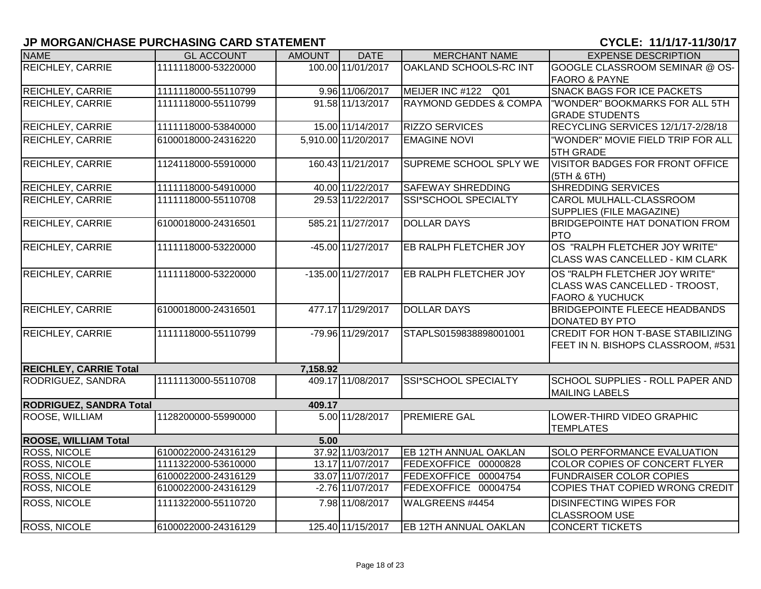| <b>NAME</b>                    | <b>GL ACCOUNT</b>   | <b>AMOUNT</b> | <b>DATE</b>                    | <b>MERCHANT NAME</b>              | <b>EXPENSE DESCRIPTION</b>             |
|--------------------------------|---------------------|---------------|--------------------------------|-----------------------------------|----------------------------------------|
| REICHLEY, CARRIE               | 1111118000-53220000 |               | 100.00 11/01/2017              | OAKLAND SCHOOLS-RC INT            | GOOGLE CLASSROOM SEMINAR @ OS-         |
|                                |                     |               |                                |                                   | <b>FAORO &amp; PAYNE</b>               |
| <b>REICHLEY, CARRIE</b>        | 1111118000-55110799 |               | 9.96 11/06/2017                | MEIJER INC #122 Q01               | <b>SNACK BAGS FOR ICE PACKETS</b>      |
| <b>REICHLEY, CARRIE</b>        | 1111118000-55110799 |               | 91.58 11/13/2017               | <b>RAYMOND GEDDES &amp; COMPA</b> | "WONDER" BOOKMARKS FOR ALL 5TH         |
|                                |                     |               |                                |                                   | <b>GRADE STUDENTS</b>                  |
| <b>REICHLEY, CARRIE</b>        | 1111118000-53840000 |               | 15.00 11/14/2017               | <b>RIZZO SERVICES</b>             | RECYCLING SERVICES 12/1/17-2/28/18     |
| <b>REICHLEY, CARRIE</b>        | 6100018000-24316220 |               | 5,910.00 11/20/2017            | <b>EMAGINE NOVI</b>               | "WONDER" MOVIE FIELD TRIP FOR ALL      |
|                                |                     |               |                                |                                   | <b>5TH GRADE</b>                       |
| <b>REICHLEY, CARRIE</b>        | 1124118000-55910000 |               | 160.43 11/21/2017              | SUPREME SCHOOL SPLY WE            | <b>VISITOR BADGES FOR FRONT OFFICE</b> |
|                                |                     |               |                                |                                   | (5TH & 6TH)                            |
| <b>REICHLEY, CARRIE</b>        | 1111118000-54910000 |               | 40.00 11/22/2017               | <b>SAFEWAY SHREDDING</b>          | <b>SHREDDING SERVICES</b>              |
| <b>REICHLEY, CARRIE</b>        | 1111118000-55110708 |               | 29.53 11/22/2017               | SSI*SCHOOL SPECIALTY              | CAROL MULHALL-CLASSROOM                |
|                                |                     |               |                                |                                   | SUPPLIES (FILE MAGAZINE)               |
| <b>REICHLEY, CARRIE</b>        | 6100018000-24316501 |               | 585.21 11/27/2017              | <b>DOLLAR DAYS</b>                | <b>BRIDGEPOINTE HAT DONATION FROM</b>  |
|                                |                     |               |                                |                                   | <b>PTO</b>                             |
| <b>REICHLEY, CARRIE</b>        | 1111118000-53220000 |               | -45.00 11/27/2017              | EB RALPH FLETCHER JOY             | OS "RALPH FLETCHER JOY WRITE"          |
|                                |                     |               |                                |                                   | CLASS WAS CANCELLED - KIM CLARK        |
| <b>REICHLEY, CARRIE</b>        | 1111118000-53220000 |               | $-135.00\overline{11/27/2017}$ | EB RALPH FLETCHER JOY             | OS "RALPH FLETCHER JOY WRITE"          |
|                                |                     |               |                                |                                   | CLASS WAS CANCELLED - TROOST,          |
|                                |                     |               |                                |                                   | <b>FAORO &amp; YUCHUCK</b>             |
| <b>REICHLEY, CARRIE</b>        | 6100018000-24316501 |               | 477.17 11/29/2017              | <b>DOLLAR DAYS</b>                | <b>BRIDGEPOINTE FLEECE HEADBANDS</b>   |
|                                |                     |               |                                |                                   | DONATED BY PTO                         |
| <b>REICHLEY, CARRIE</b>        | 1111118000-55110799 |               | -79.96 11/29/2017              | STAPLS0159838898001001            | CREDIT FOR HON T-BASE STABILIZING      |
|                                |                     |               |                                |                                   | FEET IN N. BISHOPS CLASSROOM, #531     |
|                                |                     |               |                                |                                   |                                        |
| <b>REICHLEY, CARRIE Total</b>  |                     | 7,158.92      |                                |                                   |                                        |
| RODRIGUEZ, SANDRA              | 1111113000-55110708 |               | 409.17 11/08/2017              | SSI*SCHOOL SPECIALTY              | SCHOOL SUPPLIES - ROLL PAPER AND       |
|                                |                     |               |                                |                                   | <b>MAILING LABELS</b>                  |
| <b>RODRIGUEZ, SANDRA Total</b> |                     | 409.17        |                                |                                   |                                        |
| ROOSE, WILLIAM                 | 1128200000-55990000 |               | 5.00 11/28/2017                | <b>PREMIERE GAL</b>               | LOWER-THIRD VIDEO GRAPHIC              |
|                                |                     |               |                                |                                   | <b>TEMPLATES</b>                       |
| <b>ROOSE, WILLIAM Total</b>    |                     | 5.00          |                                |                                   |                                        |
| <b>ROSS, NICOLE</b>            | 6100022000-24316129 |               | 37.92 11/03/2017               | <b>EB 12TH ANNUAL OAKLAN</b>      | <b>SOLO PERFORMANCE EVALUATION</b>     |
| <b>ROSS, NICOLE</b>            | 1111322000-53610000 |               | 13.17 11/07/2017               | FEDEXOFFICE 00000828              | <b>COLOR COPIES OF CONCERT FLYER</b>   |
| ROSS, NICOLE                   | 6100022000-24316129 |               | 33.07 11/07/2017               | FEDEXOFFICE 00004754              | <b>FUNDRAISER COLOR COPIES</b>         |
| <b>ROSS, NICOLE</b>            | 6100022000-24316129 |               | $-2.76$ 11/07/2017             | FEDEXOFFICE 00004754              | COPIES THAT COPIED WRONG CREDIT        |
| <b>ROSS, NICOLE</b>            | 1111322000-55110720 |               | 7.98 11/08/2017                | WALGREENS #4454                   | <b>DISINFECTING WIPES FOR</b>          |
|                                |                     |               |                                |                                   | <b>CLASSROOM USE</b>                   |
| <b>ROSS, NICOLE</b>            | 6100022000-24316129 |               | 125.40 11/15/2017              | <b>EB 12TH ANNUAL OAKLAN</b>      | <b>CONCERT TICKETS</b>                 |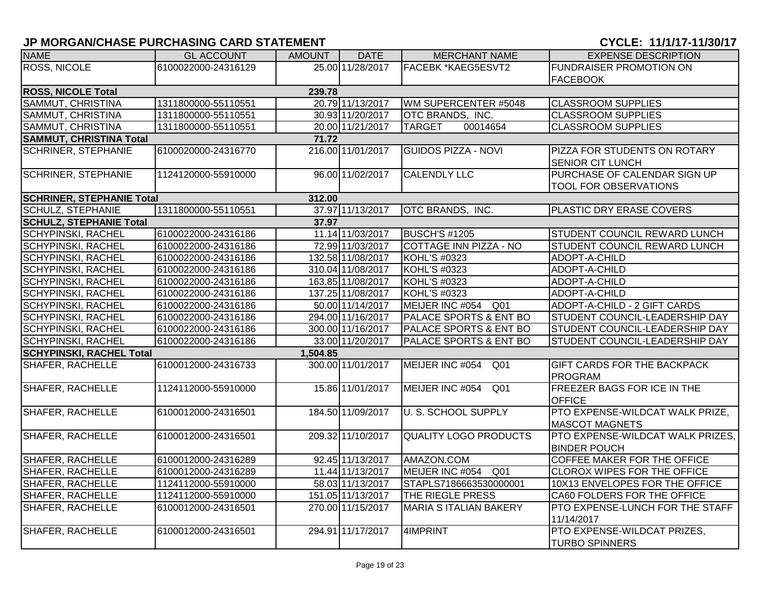# **JP MORGAN/CHASE PURCHASING CARD STATEMENT CONSUMING A CONSUMING A CYCLE: 11/1/17-11/30/17**

| <b>NAME</b>                      | <b>GL ACCOUNT</b>   | <b>AMOUNT</b> | <b>DATE</b>       | <b>MERCHANT NAME</b>          | <b>EXPENSE DESCRIPTION</b>                                   |
|----------------------------------|---------------------|---------------|-------------------|-------------------------------|--------------------------------------------------------------|
| <b>ROSS, NICOLE</b>              | 6100022000-24316129 |               | 25.00 11/28/2017  | FACEBK *KAEG5ESVT2            | <b>FUNDRAISER PROMOTION ON</b>                               |
|                                  |                     |               |                   |                               | <b>FACEBOOK</b>                                              |
| <b>ROSS, NICOLE Total</b>        |                     | 239.78        |                   |                               |                                                              |
| SAMMUT, CHRISTINA                | 1311800000-55110551 |               | 20.79 11/13/2017  | WM SUPERCENTER #5048          | <b>CLASSROOM SUPPLIES</b>                                    |
| SAMMUT, CHRISTINA                | 1311800000-55110551 |               | 30.93 11/20/2017  | OTC BRANDS, INC.              | <b>CLASSROOM SUPPLIES</b>                                    |
| SAMMUT, CHRISTINA                | 1311800000-55110551 |               | 20.00 11/21/2017  | <b>TARGET</b><br>00014654     | <b>CLASSROOM SUPPLIES</b>                                    |
| <b>SAMMUT, CHRISTINA Total</b>   |                     | 71.72         |                   |                               |                                                              |
| <b>SCHRINER, STEPHANIE</b>       | 6100020000-24316770 |               | 216.00 11/01/2017 | <b>GUIDOS PIZZA - NOVI</b>    | PIZZA FOR STUDENTS ON ROTARY<br><b>SENIOR CIT LUNCH</b>      |
| <b>SCHRINER, STEPHANIE</b>       | 1124120000-55910000 |               | 96.00 11/02/2017  | <b>CALENDLY LLC</b>           | PURCHASE OF CALENDAR SIGN UP<br><b>TOOL FOR OBSERVATIONS</b> |
| <b>SCHRINER, STEPHANIE Total</b> |                     | 312.00        |                   |                               |                                                              |
| <b>SCHULZ, STEPHANIE</b>         | 1311800000-55110551 |               | 37.97 11/13/2017  | OTC BRANDS, INC.              | PLASTIC DRY ERASE COVERS                                     |
| <b>SCHULZ, STEPHANIE Total</b>   |                     | 37.97         |                   |                               |                                                              |
| <b>SCHYPINSKI, RACHEL</b>        | 6100022000-24316186 |               | 11.14 11/03/2017  | <b>BUSCH'S #1205</b>          | <b>STUDENT COUNCIL REWARD LUNCH</b>                          |
| <b>SCHYPINSKI, RACHEL</b>        | 6100022000-24316186 |               | 72.99 11/03/2017  | <b>COTTAGE INN PIZZA - NO</b> | <b>STUDENT COUNCIL REWARD LUNCH</b>                          |
| <b>SCHYPINSKI, RACHEL</b>        | 6100022000-24316186 |               | 132.58 11/08/2017 | KOHL'S #0323                  | ADOPT-A-CHILD                                                |
| <b>SCHYPINSKI, RACHEL</b>        | 6100022000-24316186 |               | 310.04 11/08/2017 | <b>KOHL'S #0323</b>           | ADOPT-A-CHILD                                                |
| <b>SCHYPINSKI, RACHEL</b>        | 6100022000-24316186 |               | 163.85 11/08/2017 | <b>KOHL'S #0323</b>           | ADOPT-A-CHILD                                                |
| <b>SCHYPINSKI, RACHEL</b>        | 6100022000-24316186 |               | 137.25 11/08/2017 | <b>KOHL'S #0323</b>           | ADOPT-A-CHILD                                                |
| <b>SCHYPINSKI, RACHEL</b>        | 6100022000-24316186 |               | 50.00 11/14/2017  | MEIJER INC #054 Q01           | ADOPT-A-CHILD - 2 GIFT CARDS                                 |
| <b>SCHYPINSKI, RACHEL</b>        | 6100022000-24316186 |               | 294.00 11/16/2017 | PALACE SPORTS & ENT BO        | STUDENT COUNCIL-LEADERSHIP DAY                               |
| <b>SCHYPINSKI, RACHEL</b>        | 6100022000-24316186 |               | 300.00 11/16/2017 | PALACE SPORTS & ENT BO        | STUDENT COUNCIL-LEADERSHIP DAY                               |
| <b>SCHYPINSKI, RACHEL</b>        | 6100022000-24316186 |               | 33.00 11/20/2017  | PALACE SPORTS & ENT BO        | STUDENT COUNCIL-LEADERSHIP DAY                               |
| <b>SCHYPINSKI, RACHEL Total</b>  |                     | 1,504.85      |                   |                               |                                                              |
| <b>SHAFER, RACHELLE</b>          | 6100012000-24316733 |               | 300.00 11/01/2017 | MEIJER INC #054 Q01           | <b>GIFT CARDS FOR THE BACKPACK</b><br><b>PROGRAM</b>         |
| <b>SHAFER, RACHELLE</b>          | 1124112000-55910000 |               | 15.86 11/01/2017  | MEIJER INC #054 Q01           | <b>FREEZER BAGS FOR ICE IN THE</b><br><b>OFFICE</b>          |
| <b>SHAFER, RACHELLE</b>          | 6100012000-24316501 |               | 184.50 11/09/2017 | <b>U. S. SCHOOL SUPPLY</b>    | PTO EXPENSE-WILDCAT WALK PRIZE,<br><b>MASCOT MAGNETS</b>     |
| <b>SHAFER, RACHELLE</b>          | 6100012000-24316501 |               | 209.32 11/10/2017 | <b>QUALITY LOGO PRODUCTS</b>  | PTO EXPENSE-WILDCAT WALK PRIZES,<br><b>BINDER POUCH</b>      |
| <b>SHAFER, RACHELLE</b>          | 6100012000-24316289 |               | 92.45 11/13/2017  | AMAZON.COM                    | COFFEE MAKER FOR THE OFFICE                                  |
| <b>SHAFER, RACHELLE</b>          | 6100012000-24316289 |               | 11.44 11/13/2017  | MEIJER INC #054 Q01           | <b>CLOROX WIPES FOR THE OFFICE</b>                           |
| SHAFER, RACHELLE                 | 1124112000-55910000 |               | 58.03 11/13/2017  | STAPLS7186663530000001        | 10X13 ENVELOPES FOR THE OFFICE                               |
| <b>SHAFER, RACHELLE</b>          | 1124112000-55910000 |               | 151.05 11/13/2017 | THE RIEGLE PRESS              | CA60 FOLDERS FOR THE OFFICE                                  |
| SHAFER, RACHELLE                 | 6100012000-24316501 |               | 270.00 11/15/2017 | <b>MARIA S ITALIAN BAKERY</b> | <b>PTO EXPENSE-LUNCH FOR THE STAFF</b><br>11/14/2017         |
| <b>SHAFER, RACHELLE</b>          | 6100012000-24316501 |               | 294.91 11/17/2017 | 4IMPRINT                      | <b>PTO EXPENSE-WILDCAT PRIZES,</b><br><b>TURBO SPINNERS</b>  |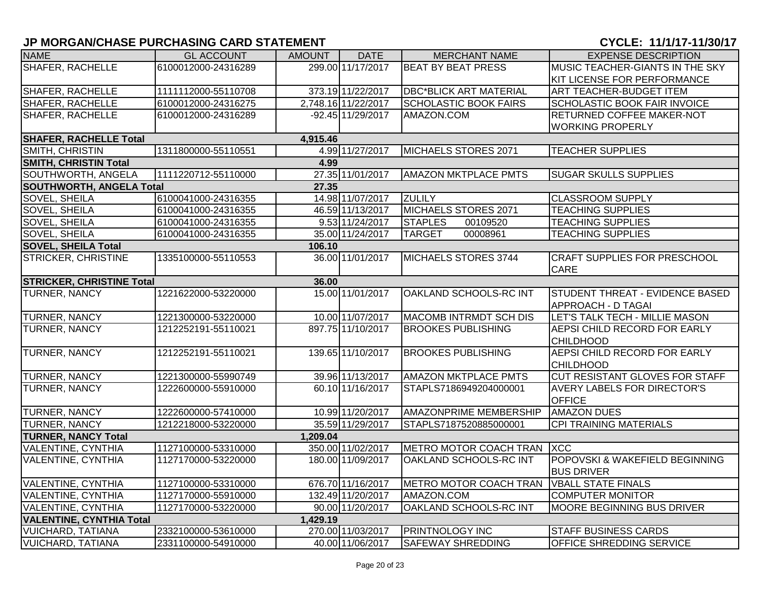| <b>NAME</b>                               | <b>GL ACCOUNT</b>   | <b>AMOUNT</b> | <b>DATE</b>         | <b>MERCHANT NAME</b>          | <b>EXPENSE DESCRIPTION</b>          |  |  |  |
|-------------------------------------------|---------------------|---------------|---------------------|-------------------------------|-------------------------------------|--|--|--|
| <b>SHAFER, RACHELLE</b>                   | 6100012000-24316289 |               | 299.00 11/17/2017   | <b>BEAT BY BEAT PRESS</b>     | MUSIC TEACHER-GIANTS IN THE SKY     |  |  |  |
|                                           |                     |               |                     |                               | <b>KIT LICENSE FOR PERFORMANCE</b>  |  |  |  |
| SHAFER, RACHELLE                          | 1111112000-55110708 |               | 373.19 11/22/2017   | <b>DBC*BLICK ART MATERIAL</b> | <b>ART TEACHER-BUDGET ITEM</b>      |  |  |  |
| SHAFER, RACHELLE                          | 6100012000-24316275 |               | 2,748.16 1/22/2017  | <b>SCHOLASTIC BOOK FAIRS</b>  | <b>SCHOLASTIC BOOK FAIR INVOICE</b> |  |  |  |
| <b>SHAFER, RACHELLE</b>                   | 6100012000-24316289 |               | $-92.45$ 11/29/2017 | AMAZON.COM                    | <b>RETURNED COFFEE MAKER-NOT</b>    |  |  |  |
|                                           |                     |               |                     |                               | <b>WORKING PROPERLY</b>             |  |  |  |
| <b>SHAFER, RACHELLE Total</b>             |                     | 4,915.46      |                     |                               |                                     |  |  |  |
| SMITH, CHRISTIN                           | 1311800000-55110551 |               | 4.99 11/27/2017     | MICHAELS STORES 2071          | <b>TEACHER SUPPLIES</b>             |  |  |  |
| <b>SMITH, CHRISTIN Total</b><br>4.99      |                     |               |                     |                               |                                     |  |  |  |
| SOUTHWORTH, ANGELA                        | 1111220712-55110000 |               | 27.35 11/01/2017    | <b>AMAZON MKTPLACE PMTS</b>   | <b>SUGAR SKULLS SUPPLIES</b>        |  |  |  |
| <b>SOUTHWORTH, ANGELA Total</b>           |                     | 27.35         |                     |                               |                                     |  |  |  |
| SOVEL, SHEILA                             | 6100041000-24316355 |               | 14.98 11/07/2017    | <b>ZULILY</b>                 | <b>CLASSROOM SUPPLY</b>             |  |  |  |
| SOVEL, SHEILA                             | 6100041000-24316355 |               | 46.59 11/13/2017    | MICHAELS STORES 2071          | <b>TEACHING SUPPLIES</b>            |  |  |  |
| SOVEL, SHEILA                             | 6100041000-24316355 |               | 9.53 11/24/2017     | <b>STAPLES</b><br>00109520    | <b>TEACHING SUPPLIES</b>            |  |  |  |
| <b>SOVEL, SHEILA</b>                      | 6100041000-24316355 |               | 35.00 11/24/2017    | 00008961<br><b>TARGET</b>     | <b>TEACHING SUPPLIES</b>            |  |  |  |
| <b>SOVEL, SHEILA Total</b>                |                     | 106.10        |                     |                               |                                     |  |  |  |
| <b>STRICKER, CHRISTINE</b>                | 1335100000-55110553 |               | 36.00 11/01/2017    | MICHAELS STORES 3744          | <b>CRAFT SUPPLIES FOR PRESCHOOL</b> |  |  |  |
|                                           |                     |               |                     |                               | <b>CARE</b>                         |  |  |  |
| <b>STRICKER, CHRISTINE Total</b><br>36.00 |                     |               |                     |                               |                                     |  |  |  |
| <b>TURNER, NANCY</b>                      | 1221622000-53220000 |               | 15.00 11/01/2017    | OAKLAND SCHOOLS-RC INT        | STUDENT THREAT - EVIDENCE BASED     |  |  |  |
|                                           |                     |               |                     |                               | <b>APPROACH - D TAGAI</b>           |  |  |  |
| TURNER, NANCY                             | 1221300000-53220000 |               | 10.00 11/07/2017    | MACOMB INTRMDT SCH DIS        | LET'S TALK TECH - MILLIE MASON      |  |  |  |
| <b>TURNER, NANCY</b>                      | 1212252191-55110021 |               | 897.75 11/10/2017   | <b>BROOKES PUBLISHING</b>     | AEPSI CHILD RECORD FOR EARLY        |  |  |  |
|                                           |                     |               |                     |                               | <b>CHILDHOOD</b>                    |  |  |  |
| <b>TURNER, NANCY</b>                      | 1212252191-55110021 |               | 139.65 11/10/2017   | <b>BROOKES PUBLISHING</b>     | AEPSI CHILD RECORD FOR EARLY        |  |  |  |
|                                           |                     |               |                     |                               | <b>CHILDHOOD</b>                    |  |  |  |
| TURNER, NANCY                             | 1221300000-55990749 |               | 39.96 11/13/2017    | <b>AMAZON MKTPLACE PMTS</b>   | CUT RESISTANT GLOVES FOR STAFF      |  |  |  |
| <b>TURNER, NANCY</b>                      | 1222600000-55910000 |               | 60.10 11/16/2017    | STAPLS7186949204000001        | <b>AVERY LABELS FOR DIRECTOR'S</b>  |  |  |  |
|                                           |                     |               |                     |                               | <b>OFFICE</b>                       |  |  |  |
| TURNER, NANCY                             | 1222600000-57410000 |               | 10.99 11/20/2017    | AMAZONPRIME MEMBERSHIP        | <b>AMAZON DUES</b>                  |  |  |  |
| TURNER, NANCY                             | 1212218000-53220000 |               | 35.59 11/29/2017    | STAPLS7187520885000001        | <b>CPI TRAINING MATERIALS</b>       |  |  |  |
| <b>TURNER, NANCY Total</b>                |                     | 1,209.04      |                     |                               |                                     |  |  |  |
| <b>VALENTINE, CYNTHIA</b>                 | 1127100000-53310000 |               | 350.00 11/02/2017   | METRO MOTOR COACH TRAN XCC    |                                     |  |  |  |
| <b>VALENTINE, CYNTHIA</b>                 | 1127170000-53220000 |               | 180.00 11/09/2017   | OAKLAND SCHOOLS-RC INT        | POPOVSKI & WAKEFIELD BEGINNING      |  |  |  |
|                                           |                     |               |                     |                               | <b>BUS DRIVER</b>                   |  |  |  |
| <b>VALENTINE, CYNTHIA</b>                 | 1127100000-53310000 |               | 676.70 11/16/2017   | METRO MOTOR COACH TRAN        | <b>VBALL STATE FINALS</b>           |  |  |  |
| <b>VALENTINE, CYNTHIA</b>                 | 1127170000-55910000 |               | 132.49 11/20/2017   | AMAZON.COM                    | <b>COMPUTER MONITOR</b>             |  |  |  |
| <b>VALENTINE, CYNTHIA</b>                 | 1127170000-53220000 |               | 90.00 11/20/2017    | OAKLAND SCHOOLS-RC INT        | MOORE BEGINNING BUS DRIVER          |  |  |  |
| <b>VALENTINE, CYNTHIA Total</b>           |                     | 1,429.19      |                     |                               |                                     |  |  |  |
| <b>VUICHARD, TATIANA</b>                  | 2332100000-53610000 |               | 270.00 11/03/2017   | <b>PRINTNOLOGY INC</b>        | <b>STAFF BUSINESS CARDS</b>         |  |  |  |
| <b>VUICHARD, TATIANA</b>                  | 2331100000-54910000 |               | 40.00 11/06/2017    | <b>SAFEWAY SHREDDING</b>      | OFFICE SHREDDING SERVICE            |  |  |  |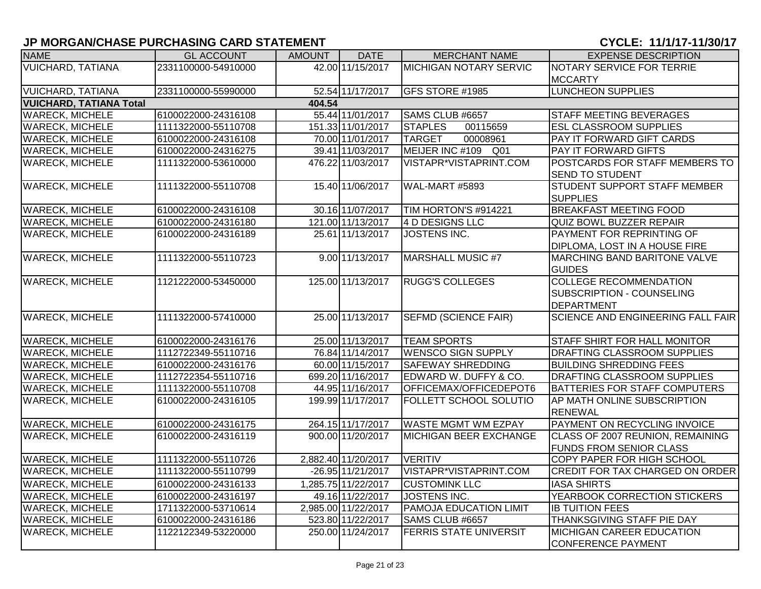| <b>NAME</b>                    | <b>GL ACCOUNT</b>   | <b>AMOUNT</b> | <b>DATE</b>         | <b>MERCHANT NAME</b>          | <b>EXPENSE DESCRIPTION</b>                                                      |
|--------------------------------|---------------------|---------------|---------------------|-------------------------------|---------------------------------------------------------------------------------|
| <b>VUICHARD, TATIANA</b>       | 2331100000-54910000 |               | 42.00 11/15/2017    | <b>MICHIGAN NOTARY SERVIC</b> | NOTARY SERVICE FOR TERRIE                                                       |
|                                |                     |               |                     |                               | <b>MCCARTY</b>                                                                  |
| <b>VUICHARD, TATIANA</b>       | 2331100000-55990000 |               | 52.54 11/17/2017    | GFS STORE #1985               | <b>LUNCHEON SUPPLIES</b>                                                        |
| <b>VUICHARD, TATIANA Total</b> |                     | 404.54        |                     |                               |                                                                                 |
| <b>WARECK, MICHELE</b>         | 6100022000-24316108 |               | 55.44 11/01/2017    | SAMS CLUB #6657               | <b>STAFF MEETING BEVERAGES</b>                                                  |
| <b>WARECK, MICHELE</b>         | 1111322000-55110708 |               | 151.33 11/01/2017   | <b>STAPLES</b><br>00115659    | <b>ESL CLASSROOM SUPPLIES</b>                                                   |
| <b>WARECK, MICHELE</b>         | 6100022000-24316108 |               | 70.00 11/01/2017    | <b>TARGET</b><br>00008961     | PAY IT FORWARD GIFT CARDS                                                       |
| <b>WARECK, MICHELE</b>         | 6100022000-24316275 |               | 39.41 11/03/2017    | MEIJER INC #109 Q01           | PAY IT FORWARD GIFTS                                                            |
| <b>WARECK, MICHELE</b>         | 1111322000-53610000 |               | 476.22 11/03/2017   | VISTAPR*VISTAPRINT.COM        | POSTCARDS FOR STAFF MEMBERS TO<br><b>SEND TO STUDENT</b>                        |
| <b>WARECK, MICHELE</b>         | 1111322000-55110708 |               | 15.40 11/06/2017    | <b>WAL-MART #5893</b>         | <b>STUDENT SUPPORT STAFF MEMBER</b><br><b>SUPPLIES</b>                          |
| <b>WARECK, MICHELE</b>         | 6100022000-24316108 |               | 30.16 11/07/2017    | TIM HORTON'S #914221          | <b>BREAKFAST MEETING FOOD</b>                                                   |
| <b>WARECK, MICHELE</b>         | 6100022000-24316180 |               | 121.00 11/13/2017   | 4 D DESIGNS LLC               | <b>QUIZ BOWL BUZZER REPAIR</b>                                                  |
| <b>WARECK, MICHELE</b>         | 6100022000-24316189 |               | 25.61 11/13/2017    | JOSTENS INC.                  | PAYMENT FOR REPRINTING OF<br>DIPLOMA, LOST IN A HOUSE FIRE                      |
| <b>WARECK, MICHELE</b>         | 1111322000-55110723 |               | 9.00 11/13/2017     | <b>MARSHALL MUSIC #7</b>      | MARCHING BAND BARITONE VALVE<br><b>GUIDES</b>                                   |
| <b>WARECK, MICHELE</b>         | 1121222000-53450000 |               | 125.00 11/13/2017   | <b>RUGG'S COLLEGES</b>        | <b>COLLEGE RECOMMENDATION</b><br>SUBSCRIPTION - COUNSELING<br><b>DEPARTMENT</b> |
| <b>WARECK, MICHELE</b>         | 1111322000-57410000 |               | 25.00 11/13/2017    | <b>SEFMD (SCIENCE FAIR)</b>   | <b>SCIENCE AND ENGINEERING FALL FAIR</b>                                        |
| <b>WARECK, MICHELE</b>         | 6100022000-24316176 |               | 25.00 11/13/2017    | <b>TEAM SPORTS</b>            | STAFF SHIRT FOR HALL MONITOR                                                    |
| <b>WARECK, MICHELE</b>         | 1112722349-55110716 |               | 76.84 11/14/2017    | <b>WENSCO SIGN SUPPLY</b>     | DRAFTING CLASSROOM SUPPLIES                                                     |
| <b>WARECK, MICHELE</b>         | 6100022000-24316176 |               | 60.00 11/15/2017    | <b>SAFEWAY SHREDDING</b>      | <b>BUILDING SHREDDING FEES</b>                                                  |
| <b>WARECK, MICHELE</b>         | 1112722354-55110716 |               | 699.20 11/16/2017   | EDWARD W. DUFFY & CO.         | DRAFTING CLASSROOM SUPPLIES                                                     |
| <b>WARECK, MICHELE</b>         | 1111322000-55110708 |               | 44.95 11/16/2017    | OFFICEMAX/OFFICEDEPOT6        | <b>BATTERIES FOR STAFF COMPUTERS</b>                                            |
| <b>WARECK, MICHELE</b>         | 6100022000-24316105 |               | 199.99 11/17/2017   | FOLLETT SCHOOL SOLUTIO        | AP MATH ONLINE SUBSCRIPTION<br><b>RENEWAL</b>                                   |
| <b>WARECK, MICHELE</b>         | 6100022000-24316175 |               | 264.15 11/17/2017   | <b>WASTE MGMT WM EZPAY</b>    | PAYMENT ON RECYCLING INVOICE                                                    |
| <b>WARECK, MICHELE</b>         | 6100022000-24316119 |               | 900.00 11/20/2017   | <b>MICHIGAN BEER EXCHANGE</b> | CLASS OF 2007 REUNION, REMAINING<br><b>FUNDS FROM SENIOR CLASS</b>              |
| <b>WARECK, MICHELE</b>         | 1111322000-55110726 |               | 2,882.40 11/20/2017 | <b>VERITIV</b>                | COPY PAPER FOR HIGH SCHOOL                                                      |
| <b>WARECK, MICHELE</b>         | 1111322000-55110799 |               | -26.95 11/21/2017   | VISTAPR*VISTAPRINT.COM        | CREDIT FOR TAX CHARGED ON ORDER                                                 |
| <b>WARECK, MICHELE</b>         | 6100022000-24316133 |               | 1,285.75 11/22/2017 | <b>CUSTOMINK LLC</b>          | <b>IASA SHIRTS</b>                                                              |
| <b>WARECK, MICHELE</b>         | 6100022000-24316197 |               | 49.16 11/22/2017    | JOSTENS INC.                  | YEARBOOK CORRECTION STICKERS                                                    |
| <b>WARECK, MICHELE</b>         | 1711322000-53710614 |               | 2,985.00 11/22/2017 | <b>PAMOJA EDUCATION LIMIT</b> | <b>IB TUITION FEES</b>                                                          |
| <b>WARECK, MICHELE</b>         | 6100022000-24316186 |               | 523.80 11/22/2017   | SAMS CLUB #6657               | THANKSGIVING STAFF PIE DAY                                                      |
| <b>WARECK, MICHELE</b>         | 1122122349-53220000 |               | 250.00 11/24/2017   | <b>FERRIS STATE UNIVERSIT</b> | <b>MICHIGAN CAREER EDUCATION</b><br><b>CONFERENCE PAYMENT</b>                   |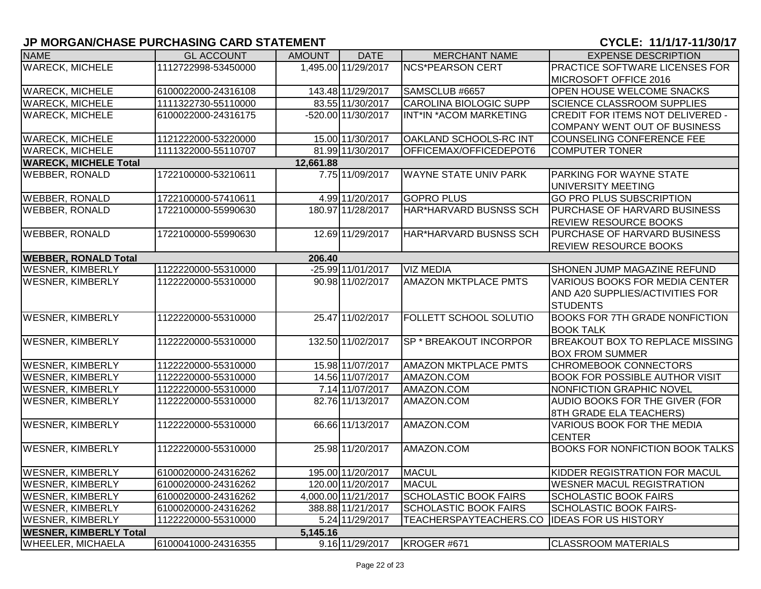| <b>NAME</b>                   | <b>GL ACCOUNT</b>   | <b>AMOUNT</b> | <b>DATE</b>         | <b>MERCHANT NAME</b>          | <b>EXPENSE DESCRIPTION</b>             |
|-------------------------------|---------------------|---------------|---------------------|-------------------------------|----------------------------------------|
| <b>WARECK, MICHELE</b>        | 1112722998-53450000 |               | 1,495.00 11/29/2017 | <b>NCS*PEARSON CERT</b>       | PRACTICE SOFTWARE LICENSES FOR         |
|                               |                     |               |                     |                               | MICROSOFT OFFICE 2016                  |
| <b>WARECK, MICHELE</b>        | 6100022000-24316108 |               | 143.48 11/29/2017   | SAMSCLUB #6657                | OPEN HOUSE WELCOME SNACKS              |
| <b>WARECK, MICHELE</b>        | 1111322730-55110000 |               | 83.55 11/30/2017    | <b>CAROLINA BIOLOGIC SUPP</b> | <b>SCIENCE CLASSROOM SUPPLIES</b>      |
| <b>WARECK, MICHELE</b>        | 6100022000-24316175 |               | -520.00 11/30/2017  | INT*IN *ACOM MARKETING        | CREDIT FOR ITEMS NOT DELIVERED -       |
|                               |                     |               |                     |                               | COMPANY WENT OUT OF BUSINESS           |
| <b>WARECK, MICHELE</b>        | 1121222000-53220000 |               | 15.00 11/30/2017    | OAKLAND SCHOOLS-RC INT        | <b>COUNSELING CONFERENCE FEE</b>       |
| <b>WARECK, MICHELE</b>        | 1111322000-55110707 |               | 81.99 11/30/2017    | OFFICEMAX/OFFICEDEPOT6        | <b>COMPUTER TONER</b>                  |
| <b>WARECK, MICHELE Total</b>  |                     | 12,661.88     |                     |                               |                                        |
| <b>WEBBER, RONALD</b>         | 1722100000-53210611 |               | 7.75 11/09/2017     | <b>WAYNE STATE UNIV PARK</b>  | PARKING FOR WAYNE STATE                |
|                               |                     |               |                     |                               | UNIVERSITY MEETING                     |
| <b>WEBBER, RONALD</b>         | 1722100000-57410611 |               | 4.99 11/20/2017     | <b>GOPRO PLUS</b>             | <b>GO PRO PLUS SUBSCRIPTION</b>        |
| <b>WEBBER, RONALD</b>         | 1722100000-55990630 |               | 180.97 11/28/2017   | HAR*HARVARD BUSNSS SCH        | <b>PURCHASE OF HARVARD BUSINESS</b>    |
|                               |                     |               |                     |                               | <b>REVIEW RESOURCE BOOKS</b>           |
| <b>WEBBER, RONALD</b>         | 1722100000-55990630 |               | 12.69 11/29/2017    | HAR*HARVARD BUSNSS SCH        | <b>PURCHASE OF HARVARD BUSINESS</b>    |
|                               |                     |               |                     |                               | REVIEW RESOURCE BOOKS                  |
| <b>WEBBER, RONALD Total</b>   |                     | 206.40        |                     |                               |                                        |
| <b>WESNER, KIMBERLY</b>       | 1122220000-55310000 |               | $-25.99$ 11/01/2017 | <b>VIZ MEDIA</b>              | SHONEN JUMP MAGAZINE REFUND            |
| <b>WESNER, KIMBERLY</b>       | 1122220000-55310000 |               | 90.98 11/02/2017    | <b>AMAZON MKTPLACE PMTS</b>   | <b>VARIOUS BOOKS FOR MEDIA CENTER</b>  |
|                               |                     |               |                     |                               | AND A20 SUPPLIES/ACTIVITIES FOR        |
|                               |                     |               |                     |                               | <b>STUDENTS</b>                        |
| <b>WESNER, KIMBERLY</b>       | 1122220000-55310000 |               | 25.47 11/02/2017    | <b>FOLLETT SCHOOL SOLUTIO</b> | <b>BOOKS FOR 7TH GRADE NONFICTION</b>  |
|                               |                     |               |                     |                               | <b>BOOK TALK</b>                       |
| <b>WESNER, KIMBERLY</b>       | 1122220000-55310000 |               | 132.50 11/02/2017   | <b>SP * BREAKOUT INCORPOR</b> | <b>BREAKOUT BOX TO REPLACE MISSING</b> |
|                               |                     |               |                     |                               | <b>BOX FROM SUMMER</b>                 |
| <b>WESNER, KIMBERLY</b>       | 1122220000-55310000 |               | 15.98 11/07/2017    | <b>AMAZON MKTPLACE PMTS</b>   | CHROMEBOOK CONNECTORS                  |
| <b>WESNER, KIMBERLY</b>       | 1122220000-55310000 |               | 14.56 11/07/2017    | AMAZON.COM                    | <b>BOOK FOR POSSIBLE AUTHOR VISIT</b>  |
| <b>WESNER, KIMBERLY</b>       | 1122220000-55310000 |               | 7.14 11/07/2017     | AMAZON.COM                    | NONFICTION GRAPHIC NOVEL               |
| <b>WESNER, KIMBERLY</b>       | 1122220000-55310000 |               | 82.76 11/13/2017    | AMAZON.COM                    | AUDIO BOOKS FOR THE GIVER (FOR         |
|                               |                     |               |                     |                               | 8TH GRADE ELA TEACHERS)                |
| <b>WESNER, KIMBERLY</b>       | 1122220000-55310000 |               | 66.66 11/13/2017    | AMAZON.COM                    | VARIOUS BOOK FOR THE MEDIA             |
|                               |                     |               |                     |                               | <b>CENTER</b>                          |
| <b>WESNER, KIMBERLY</b>       | 1122220000-55310000 |               | 25.98 11/20/2017    | AMAZON.COM                    | <b>BOOKS FOR NONFICTION BOOK TALKS</b> |
|                               |                     |               |                     |                               |                                        |
| <b>WESNER, KIMBERLY</b>       | 6100020000-24316262 |               | 195.00 11/20/2017   | <b>MACUL</b>                  | KIDDER REGISTRATION FOR MACUL          |
| <b>WESNER, KIMBERLY</b>       | 6100020000-24316262 |               | 120.00 11/20/2017   | <b>MACUL</b>                  | <b>WESNER MACUL REGISTRATION</b>       |
| <b>WESNER, KIMBERLY</b>       | 6100020000-24316262 |               | 4,000.00 11/21/2017 | <b>SCHOLASTIC BOOK FAIRS</b>  | <b>SCHOLASTIC BOOK FAIRS</b>           |
| <b>WESNER, KIMBERLY</b>       | 6100020000-24316262 |               | 388.88 11/21/2017   | <b>SCHOLASTIC BOOK FAIRS</b>  | <b>SCHOLASTIC BOOK FAIRS-</b>          |
| <b>WESNER, KIMBERLY</b>       | 1122220000-55310000 |               | 5.24 11/29/2017     | TEACHERSPAYTEACHERS.CO        | <b>IDEAS FOR US HISTORY</b>            |
| <b>WESNER, KIMBERLY Total</b> |                     | 5,145.16      |                     |                               |                                        |
| <b>WHEELER, MICHAELA</b>      | 6100041000-24316355 |               | 9.16 11/29/2017     | KROGER #671                   | <b>CLASSROOM MATERIALS</b>             |